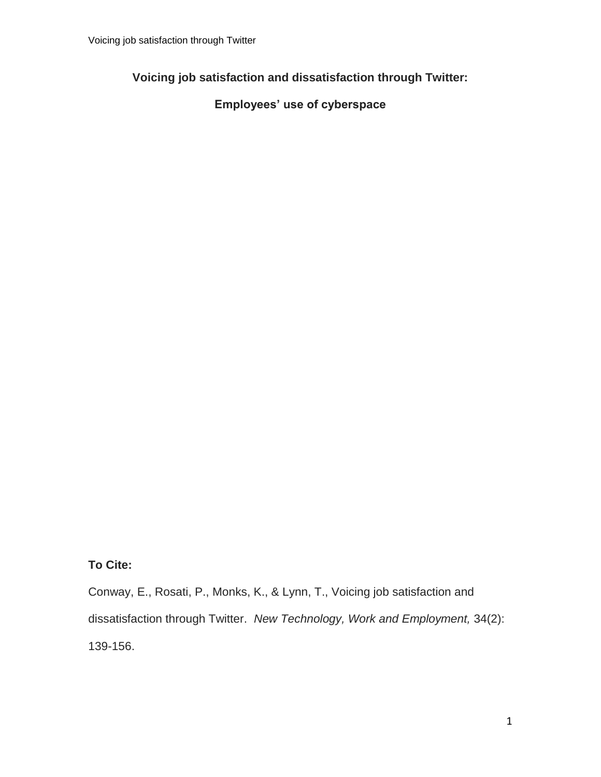## **Voicing job satisfaction and dissatisfaction through Twitter:**

## **Employees' use of cyberspace**

**To Cite:**

Conway, E., Rosati, P., Monks, K., & Lynn, T., Voicing job satisfaction and dissatisfaction through Twitter. *New Technology, Work and Employment,* 34(2): 139-156.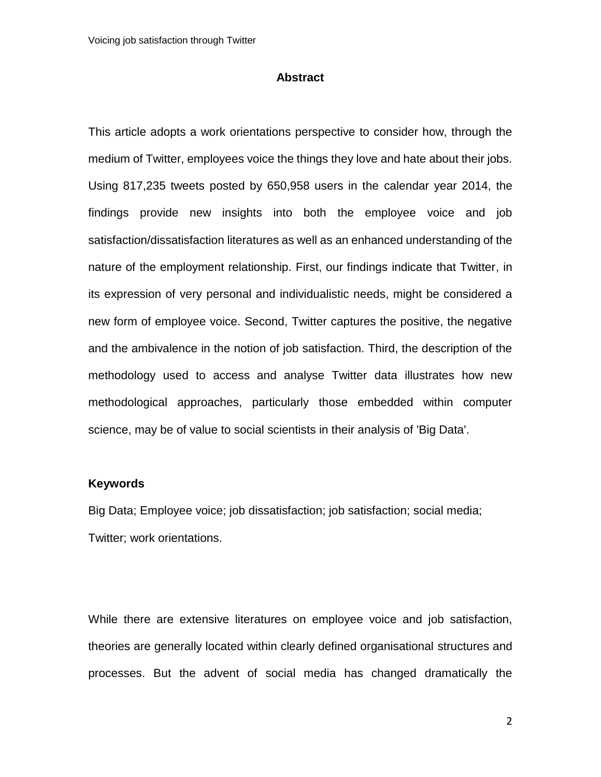## **Abstract**

This article adopts a work orientations perspective to consider how, through the medium of Twitter, employees voice the things they love and hate about their jobs. Using 817,235 tweets posted by 650,958 users in the calendar year 2014, the findings provide new insights into both the employee voice and job satisfaction/dissatisfaction literatures as well as an enhanced understanding of the nature of the employment relationship. First, our findings indicate that Twitter, in its expression of very personal and individualistic needs, might be considered a new form of employee voice. Second, Twitter captures the positive, the negative and the ambivalence in the notion of job satisfaction. Third, the description of the methodology used to access and analyse Twitter data illustrates how new methodological approaches, particularly those embedded within computer science, may be of value to social scientists in their analysis of 'Big Data'.

### **Keywords**

Big Data; Employee voice; job dissatisfaction; job satisfaction; social media; Twitter; work orientations.

While there are extensive literatures on employee voice and job satisfaction, theories are generally located within clearly defined organisational structures and processes. But the advent of social media has changed dramatically the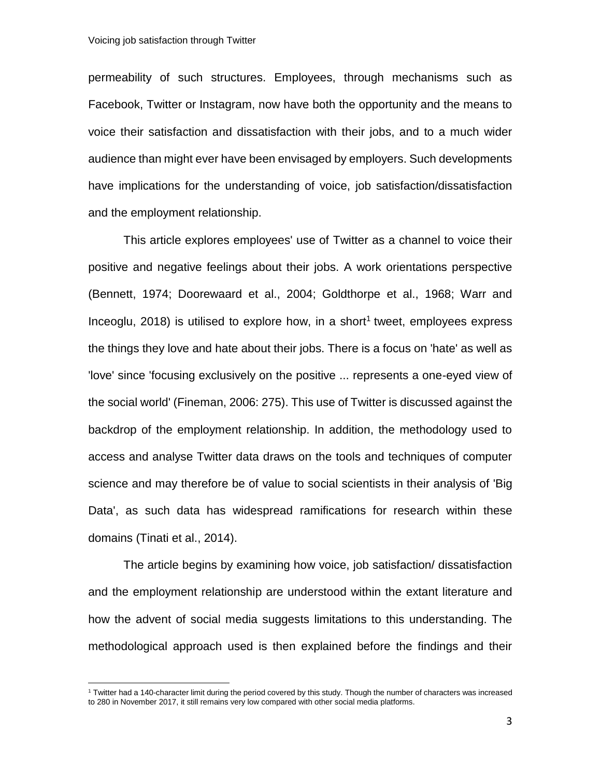l

permeability of such structures. Employees, through mechanisms such as Facebook, Twitter or Instagram, now have both the opportunity and the means to voice their satisfaction and dissatisfaction with their jobs, and to a much wider audience than might ever have been envisaged by employers. Such developments have implications for the understanding of voice, job satisfaction/dissatisfaction and the employment relationship.

This article explores employees' use of Twitter as a channel to voice their positive and negative feelings about their jobs. A work orientations perspective (Bennett, 1974; Doorewaard et al., 2004; Goldthorpe et al., 1968; Warr and Inceoglu,  $2018$ ) is utilised to explore how, in a short<sup>1</sup> tweet, employees express the things they love and hate about their jobs. There is a focus on 'hate' as well as 'love' since 'focusing exclusively on the positive ... represents a one-eyed view of the social world' (Fineman, 2006: 275). This use of Twitter is discussed against the backdrop of the employment relationship. In addition, the methodology used to access and analyse Twitter data draws on the tools and techniques of computer science and may therefore be of value to social scientists in their analysis of 'Big Data', as such data has widespread ramifications for research within these domains (Tinati et al., 2014).

The article begins by examining how voice, job satisfaction/ dissatisfaction and the employment relationship are understood within the extant literature and how the advent of social media suggests limitations to this understanding. The methodological approach used is then explained before the findings and their

<sup>1</sup> Twitter had a 140-character limit during the period covered by this study. Though the number of characters was increased to 280 in November 2017, it still remains very low compared with other social media platforms.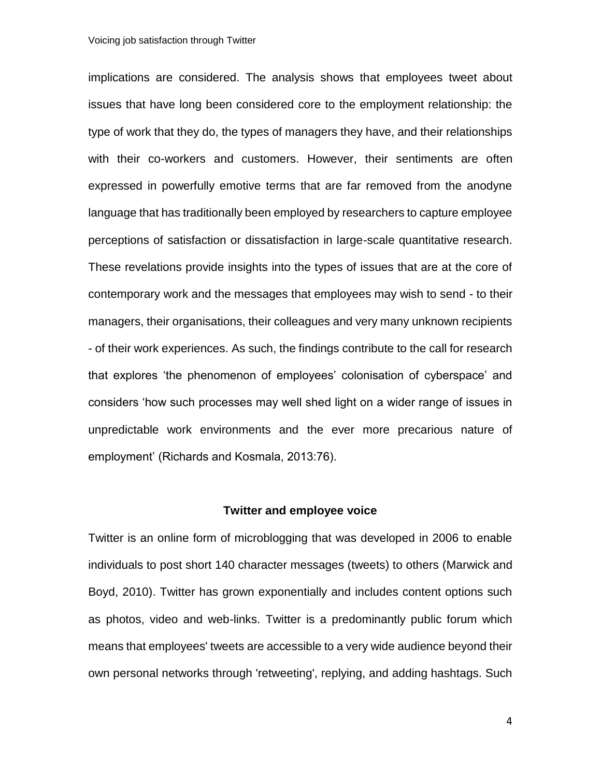implications are considered. The analysis shows that employees tweet about issues that have long been considered core to the employment relationship: the type of work that they do, the types of managers they have, and their relationships with their co-workers and customers. However, their sentiments are often expressed in powerfully emotive terms that are far removed from the anodyne language that has traditionally been employed by researchers to capture employee perceptions of satisfaction or dissatisfaction in large-scale quantitative research. These revelations provide insights into the types of issues that are at the core of contemporary work and the messages that employees may wish to send - to their managers, their organisations, their colleagues and very many unknown recipients - of their work experiences. As such, the findings contribute to the call for research that explores 'the phenomenon of employees' colonisation of cyberspace' and considers 'how such processes may well shed light on a wider range of issues in unpredictable work environments and the ever more precarious nature of employment' (Richards and Kosmala, 2013:76).

#### **Twitter and employee voice**

Twitter is an online form of microblogging that was developed in 2006 to enable individuals to post short 140 character messages (tweets) to others (Marwick and Boyd, 2010). Twitter has grown exponentially and includes content options such as photos, video and web-links. Twitter is a predominantly public forum which means that employees' tweets are accessible to a very wide audience beyond their own personal networks through 'retweeting', replying, and adding hashtags. Such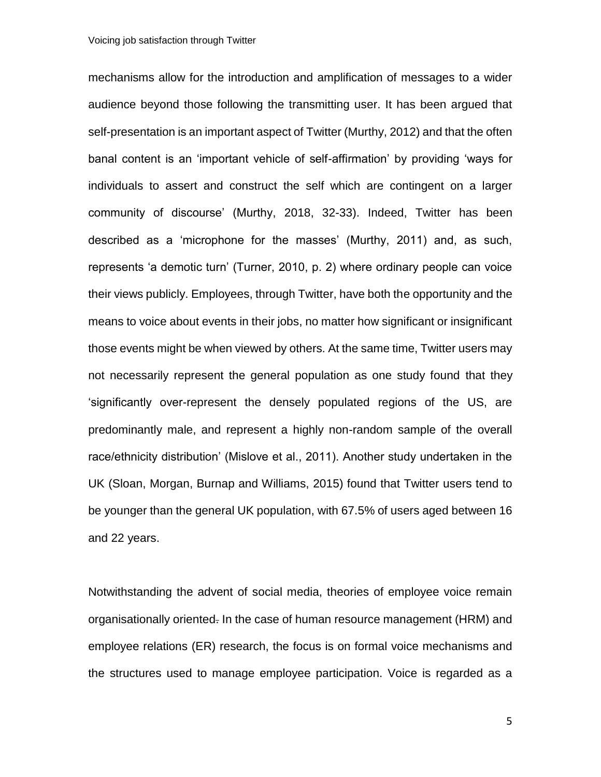mechanisms allow for the introduction and amplification of messages to a wider audience beyond those following the transmitting user. It has been argued that self-presentation is an important aspect of Twitter (Murthy, 2012) and that the often banal content is an 'important vehicle of self-affirmation' by providing 'ways for individuals to assert and construct the self which are contingent on a larger community of discourse' (Murthy, 2018, 32-33). Indeed, Twitter has been described as a 'microphone for the masses' (Murthy, 2011) and, as such, represents 'a demotic turn' (Turner, 2010, p. 2) where ordinary people can voice their views publicly. Employees, through Twitter, have both the opportunity and the means to voice about events in their jobs, no matter how significant or insignificant those events might be when viewed by others. At the same time, Twitter users may not necessarily represent the general population as one study found that they 'significantly over-represent the densely populated regions of the US, are predominantly male, and represent a highly non-random sample of the overall race/ethnicity distribution' (Mislove et al., 2011). Another study undertaken in the UK (Sloan, Morgan, Burnap and Williams, 2015) found that Twitter users tend to be younger than the general UK population, with 67.5% of users aged between 16 and 22 years.

Notwithstanding the advent of social media, theories of employee voice remain organisationally oriented. In the case of human resource management (HRM) and employee relations (ER) research, the focus is on formal voice mechanisms and the structures used to manage employee participation. Voice is regarded as a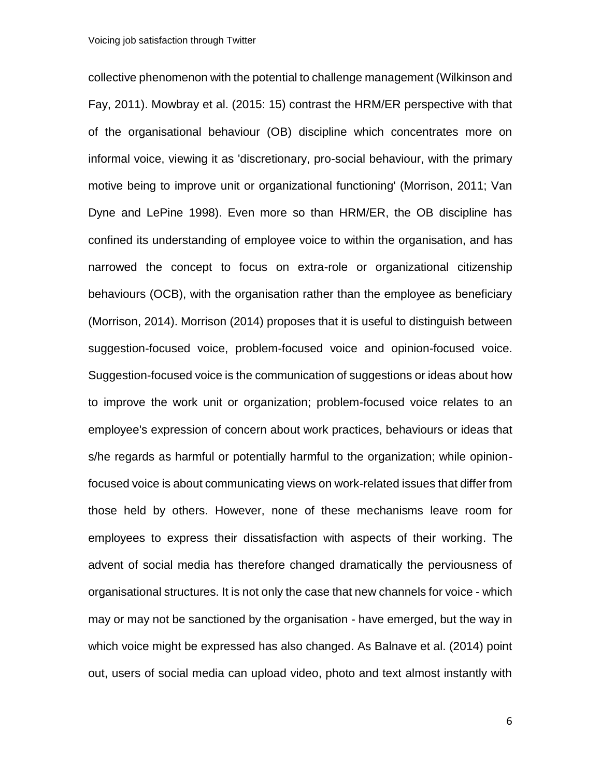collective phenomenon with the potential to challenge management (Wilkinson and Fay, 2011). Mowbray et al. (2015: 15) contrast the HRM/ER perspective with that of the organisational behaviour (OB) discipline which concentrates more on informal voice, viewing it as 'discretionary, pro-social behaviour, with the primary motive being to improve unit or organizational functioning' (Morrison, 2011; Van Dyne and LePine 1998). Even more so than HRM/ER, the OB discipline has confined its understanding of employee voice to within the organisation, and has narrowed the concept to focus on extra-role or organizational citizenship behaviours (OCB), with the organisation rather than the employee as beneficiary (Morrison, 2014). Morrison (2014) proposes that it is useful to distinguish between suggestion-focused voice, problem-focused voice and opinion-focused voice. Suggestion-focused voice is the communication of suggestions or ideas about how to improve the work unit or organization; problem-focused voice relates to an employee's expression of concern about work practices, behaviours or ideas that s/he regards as harmful or potentially harmful to the organization; while opinionfocused voice is about communicating views on work-related issues that differ from those held by others. However, none of these mechanisms leave room for employees to express their dissatisfaction with aspects of their working. The advent of social media has therefore changed dramatically the perviousness of organisational structures. It is not only the case that new channels for voice - which may or may not be sanctioned by the organisation - have emerged, but the way in which voice might be expressed has also changed. As Balnave et al. (2014) point out, users of social media can upload video, photo and text almost instantly with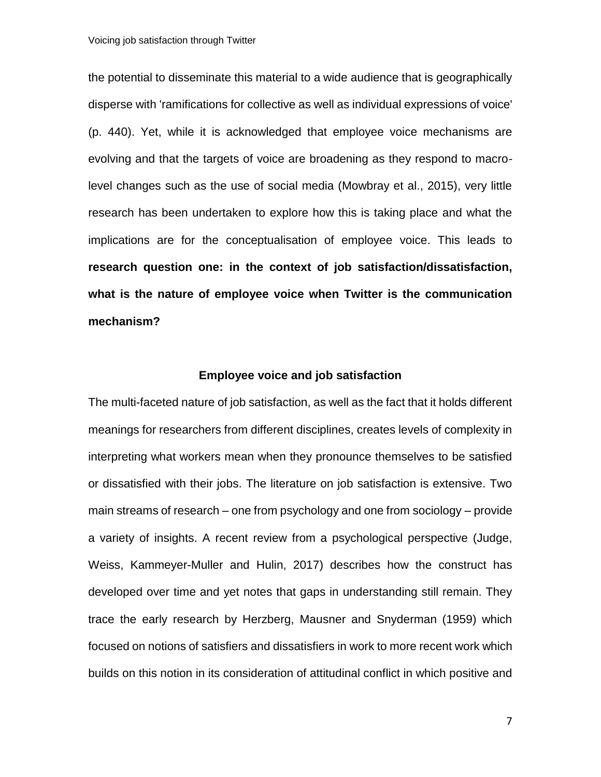the potential to disseminate this material to a wide audience that is geographically disperse with 'ramifications for collective as well as individual expressions of voice' (p. 440). Yet, while it is acknowledged that employee voice mechanisms are evolving and that the targets of voice are broadening as they respond to macrolevel changes such as the use of social media (Mowbray et al., 2015), very little research has been undertaken to explore how this is taking place and what the implications are for the conceptualisation of employee voice. This leads to **research question one: in the context of job satisfaction/dissatisfaction, what is the nature of employee voice when Twitter is the communication mechanism?**

## **Employee voice and job satisfaction**

The multi-faceted nature of job satisfaction, as well as the fact that it holds different meanings for researchers from different disciplines, creates levels of complexity in interpreting what workers mean when they pronounce themselves to be satisfied or dissatisfied with their jobs. The literature on job satisfaction is extensive. Two main streams of research – one from psychology and one from sociology – provide a variety of insights. A recent review from a psychological perspective (Judge, Weiss, Kammeyer-Muller and Hulin, 2017) describes how the construct has developed over time and yet notes that gaps in understanding still remain. They trace the early research by Herzberg, Mausner and Snyderman (1959) which focused on notions of satisfiers and dissatisfiers in work to more recent work which builds on this notion in its consideration of attitudinal conflict in which positive and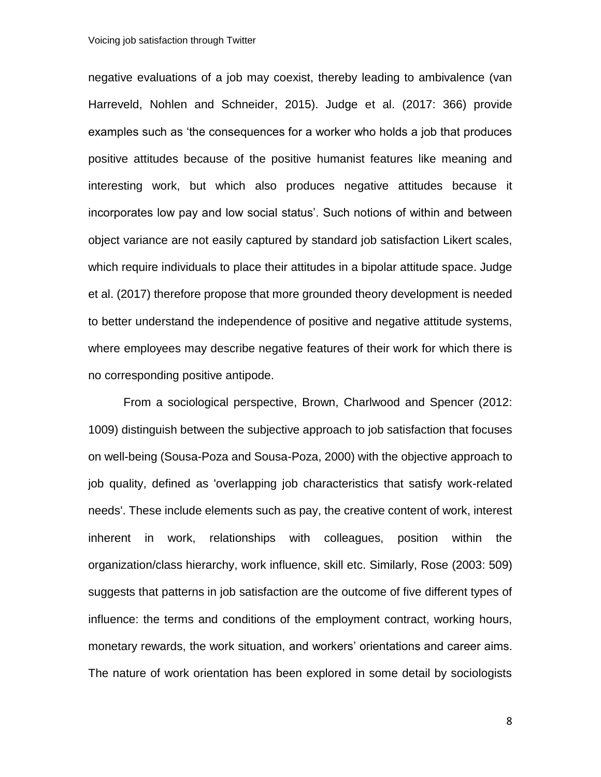negative evaluations of a job may coexist, thereby leading to ambivalence (van Harreveld, Nohlen and Schneider, 2015). Judge et al. (2017: 366) provide examples such as 'the consequences for a worker who holds a job that produces positive attitudes because of the positive humanist features like meaning and interesting work, but which also produces negative attitudes because it incorporates low pay and low social status'. Such notions of within and between object variance are not easily captured by standard job satisfaction Likert scales, which require individuals to place their attitudes in a bipolar attitude space. Judge et al. (2017) therefore propose that more grounded theory development is needed to better understand the independence of positive and negative attitude systems, where employees may describe negative features of their work for which there is no corresponding positive antipode.

From a sociological perspective, Brown, Charlwood and Spencer (2012: 1009) distinguish between the subjective approach to job satisfaction that focuses on well-being (Sousa-Poza and Sousa-Poza, 2000) with the objective approach to job quality, defined as 'overlapping job characteristics that satisfy work-related needs'. These include elements such as pay, the creative content of work, interest inherent in work, relationships with colleagues, position within the organization/class hierarchy, work influence, skill etc. Similarly, Rose (2003: 509) suggests that patterns in job satisfaction are the outcome of five different types of influence: the terms and conditions of the employment contract, working hours, monetary rewards, the work situation, and workers' orientations and career aims. The nature of work orientation has been explored in some detail by sociologists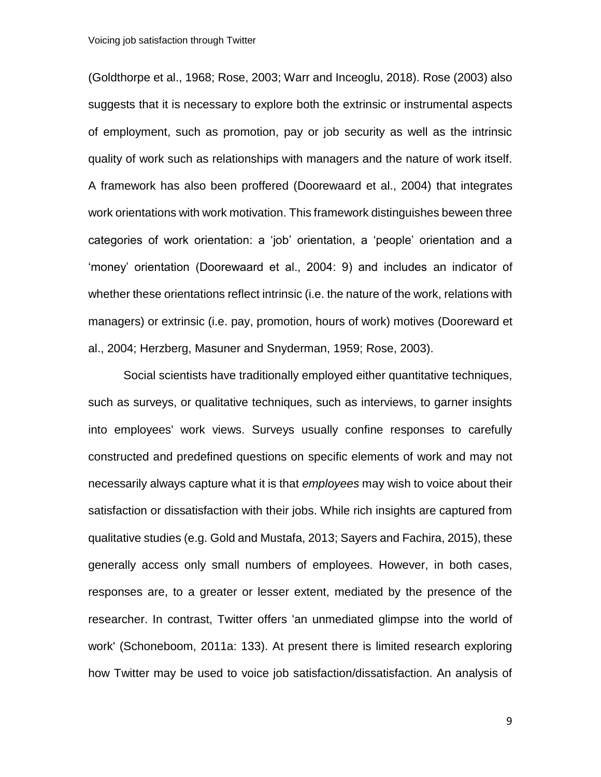(Goldthorpe et al., 1968; Rose, 2003; Warr and Inceoglu, 2018). Rose (2003) also suggests that it is necessary to explore both the extrinsic or instrumental aspects of employment, such as promotion, pay or job security as well as the intrinsic quality of work such as relationships with managers and the nature of work itself. A framework has also been proffered (Doorewaard et al., 2004) that integrates work orientations with work motivation. This framework distinguishes beween three categories of work orientation: a 'job' orientation, a 'people' orientation and a 'money' orientation (Doorewaard et al., 2004: 9) and includes an indicator of whether these orientations reflect intrinsic (i.e. the nature of the work, relations with managers) or extrinsic (i.e. pay, promotion, hours of work) motives (Dooreward et al., 2004; Herzberg, Masuner and Snyderman, 1959; Rose, 2003).

Social scientists have traditionally employed either quantitative techniques, such as surveys, or qualitative techniques, such as interviews, to garner insights into employees' work views. Surveys usually confine responses to carefully constructed and predefined questions on specific elements of work and may not necessarily always capture what it is that *employees* may wish to voice about their satisfaction or dissatisfaction with their jobs. While rich insights are captured from qualitative studies (e.g. Gold and Mustafa, 2013; Sayers and Fachira, 2015), these generally access only small numbers of employees. However, in both cases, responses are, to a greater or lesser extent, mediated by the presence of the researcher. In contrast, Twitter offers 'an unmediated glimpse into the world of work' (Schoneboom, 2011a: 133). At present there is limited research exploring how Twitter may be used to voice job satisfaction/dissatisfaction. An analysis of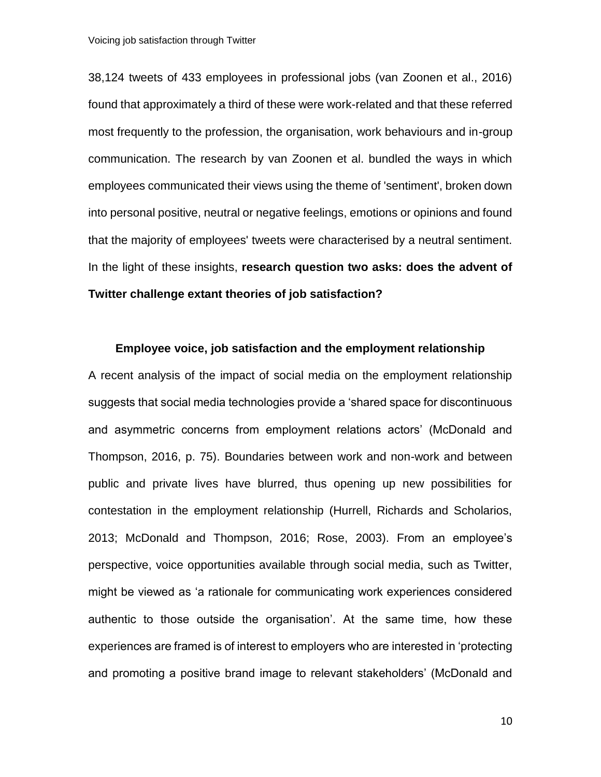38,124 tweets of 433 employees in professional jobs (van Zoonen et al., 2016) found that approximately a third of these were work-related and that these referred most frequently to the profession, the organisation, work behaviours and in-group communication. The research by van Zoonen et al. bundled the ways in which employees communicated their views using the theme of 'sentiment', broken down into personal positive, neutral or negative feelings, emotions or opinions and found that the majority of employees' tweets were characterised by a neutral sentiment. In the light of these insights, **research question two asks: does the advent of Twitter challenge extant theories of job satisfaction?** 

#### **Employee voice, job satisfaction and the employment relationship**

A recent analysis of the impact of social media on the employment relationship suggests that social media technologies provide a 'shared space for discontinuous and asymmetric concerns from employment relations actors' (McDonald and Thompson, 2016, p. 75). Boundaries between work and non-work and between public and private lives have blurred, thus opening up new possibilities for contestation in the employment relationship (Hurrell, Richards and Scholarios, 2013; McDonald and Thompson, 2016; Rose, 2003). From an employee's perspective, voice opportunities available through social media, such as Twitter, might be viewed as 'a rationale for communicating work experiences considered authentic to those outside the organisation'. At the same time, how these experiences are framed is of interest to employers who are interested in 'protecting and promoting a positive brand image to relevant stakeholders' (McDonald and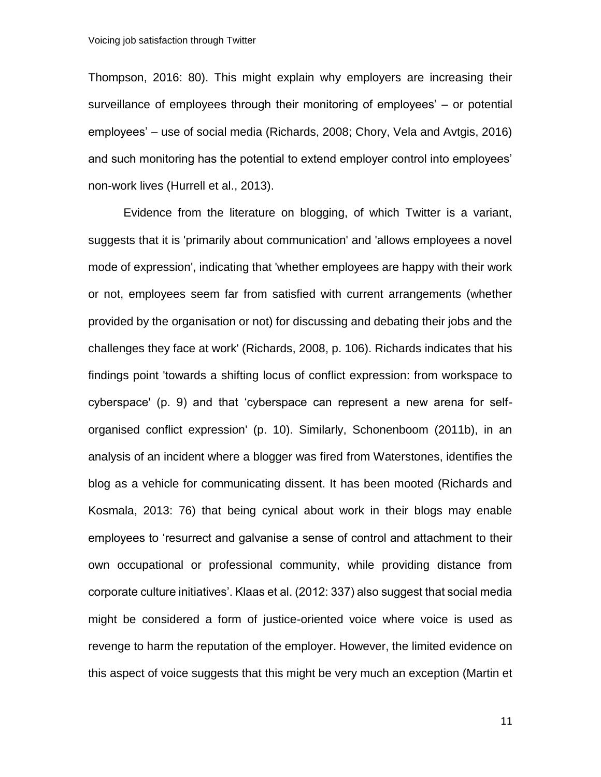Thompson, 2016: 80). This might explain why employers are increasing their surveillance of employees through their monitoring of employees' – or potential employees' – use of social media (Richards, 2008; Chory, Vela and Avtgis, 2016) and such monitoring has the potential to extend employer control into employees' non-work lives (Hurrell et al., 2013).

Evidence from the literature on blogging, of which Twitter is a variant, suggests that it is 'primarily about communication' and 'allows employees a novel mode of expression', indicating that 'whether employees are happy with their work or not, employees seem far from satisfied with current arrangements (whether provided by the organisation or not) for discussing and debating their jobs and the challenges they face at work' (Richards, 2008, p. 106). Richards indicates that his findings point 'towards a shifting locus of conflict expression: from workspace to cyberspace' (p. 9) and that 'cyberspace can represent a new arena for selforganised conflict expression' (p. 10). Similarly, Schonenboom (2011b), in an analysis of an incident where a blogger was fired from Waterstones, identifies the blog as a vehicle for communicating dissent. It has been mooted (Richards and Kosmala, 2013: 76) that being cynical about work in their blogs may enable employees to 'resurrect and galvanise a sense of control and attachment to their own occupational or professional community, while providing distance from corporate culture initiatives'. Klaas et al. (2012: 337) also suggest that social media might be considered a form of justice-oriented voice where voice is used as revenge to harm the reputation of the employer. However, the limited evidence on this aspect of voice suggests that this might be very much an exception (Martin et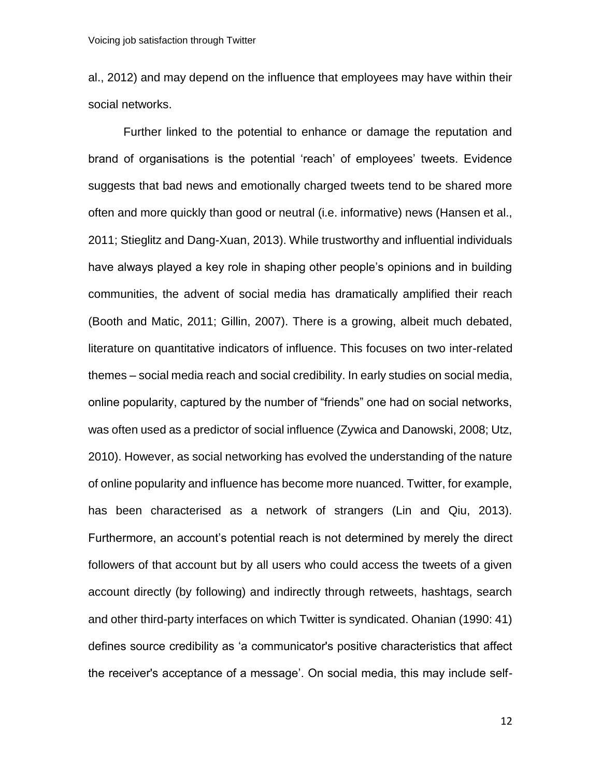al., 2012) and may depend on the influence that employees may have within their social networks.

Further linked to the potential to enhance or damage the reputation and brand of organisations is the potential 'reach' of employees' tweets. Evidence suggests that bad news and emotionally charged tweets tend to be shared more often and more quickly than good or neutral (i.e. informative) news (Hansen et al., 2011; Stieglitz and Dang-Xuan, 2013). While trustworthy and influential individuals have always played a key role in shaping other people's opinions and in building communities, the advent of social media has dramatically amplified their reach (Booth and Matic, 2011; Gillin, 2007). There is a growing, albeit much debated, literature on quantitative indicators of influence. This focuses on two inter-related themes – social media reach and social credibility. In early studies on social media, online popularity, captured by the number of "friends" one had on social networks, was often used as a predictor of social influence (Zywica and Danowski, 2008; Utz, 2010). However, as social networking has evolved the understanding of the nature of online popularity and influence has become more nuanced. Twitter, for example, has been characterised as a network of strangers (Lin and Qiu, 2013). Furthermore, an account's potential reach is not determined by merely the direct followers of that account but by all users who could access the tweets of a given account directly (by following) and indirectly through retweets, hashtags, search and other third-party interfaces on which Twitter is syndicated. Ohanian (1990: 41) defines source credibility as 'a communicator's positive characteristics that affect the receiver's acceptance of a message'. On social media, this may include self-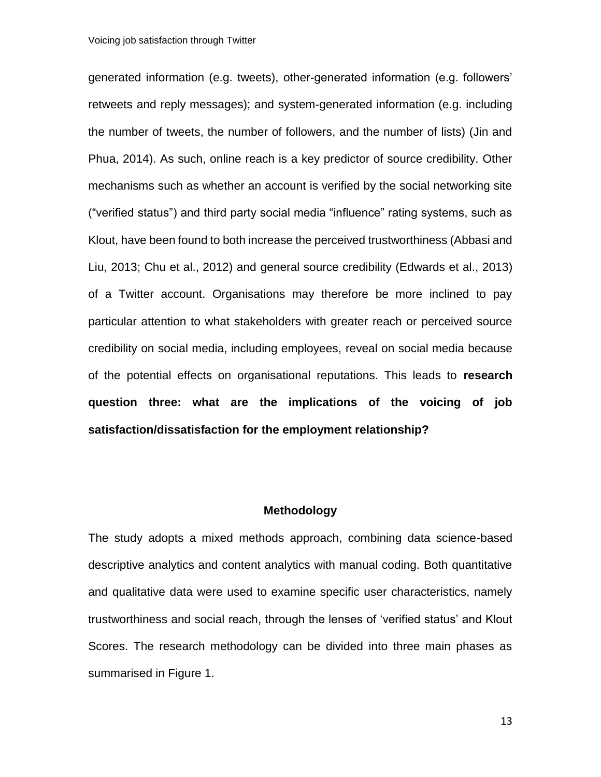generated information (e.g. tweets), other-generated information (e.g. followers' retweets and reply messages); and system-generated information (e.g. including the number of tweets, the number of followers, and the number of lists) (Jin and Phua, 2014). As such, online reach is a key predictor of source credibility. Other mechanisms such as whether an account is verified by the social networking site ("verified status") and third party social media "influence" rating systems, such as Klout, have been found to both increase the perceived trustworthiness (Abbasi and Liu, 2013; Chu et al., 2012) and general source credibility (Edwards et al., 2013) of a Twitter account. Organisations may therefore be more inclined to pay particular attention to what stakeholders with greater reach or perceived source credibility on social media, including employees, reveal on social media because of the potential effects on organisational reputations. This leads to **research question three: what are the implications of the voicing of job satisfaction/dissatisfaction for the employment relationship?**

## **Methodology**

The study adopts a mixed methods approach, combining data science-based descriptive analytics and content analytics with manual coding. Both quantitative and qualitative data were used to examine specific user characteristics, namely trustworthiness and social reach, through the lenses of 'verified status' and Klout Scores. The research methodology can be divided into three main phases as summarised in Figure 1.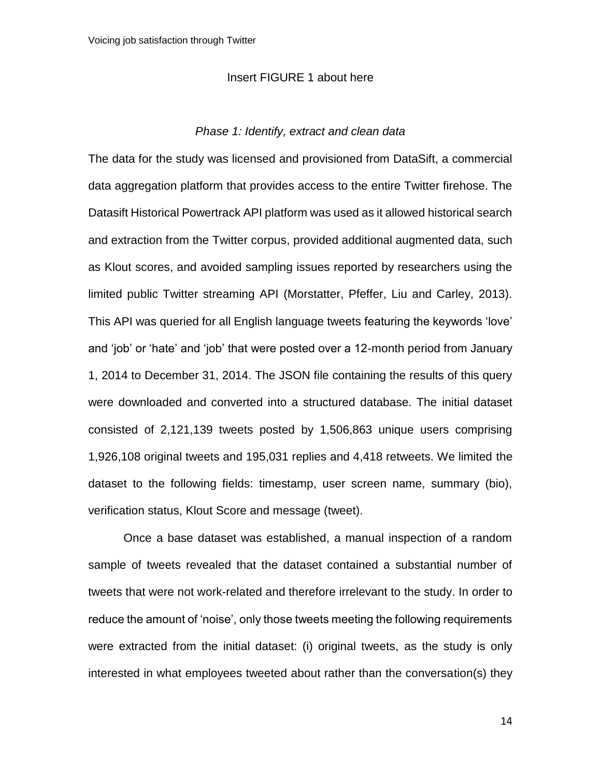## Insert FIGURE 1 about here

## *Phase 1: Identify, extract and clean data*

The data for the study was licensed and provisioned from DataSift, a commercial data aggregation platform that provides access to the entire Twitter firehose. The Datasift Historical Powertrack API platform was used as it allowed historical search and extraction from the Twitter corpus, provided additional augmented data, such as Klout scores, and avoided sampling issues reported by researchers using the limited public Twitter streaming API (Morstatter, Pfeffer, Liu and Carley, 2013). This API was queried for all English language tweets featuring the keywords 'love' and 'job' or 'hate' and 'job' that were posted over a 12-month period from January 1, 2014 to December 31, 2014. The JSON file containing the results of this query were downloaded and converted into a structured database. The initial dataset consisted of 2,121,139 tweets posted by 1,506,863 unique users comprising 1,926,108 original tweets and 195,031 replies and 4,418 retweets. We limited the dataset to the following fields: timestamp, user screen name, summary (bio), verification status, Klout Score and message (tweet).

Once a base dataset was established, a manual inspection of a random sample of tweets revealed that the dataset contained a substantial number of tweets that were not work-related and therefore irrelevant to the study. In order to reduce the amount of 'noise', only those tweets meeting the following requirements were extracted from the initial dataset: (i) original tweets, as the study is only interested in what employees tweeted about rather than the conversation(s) they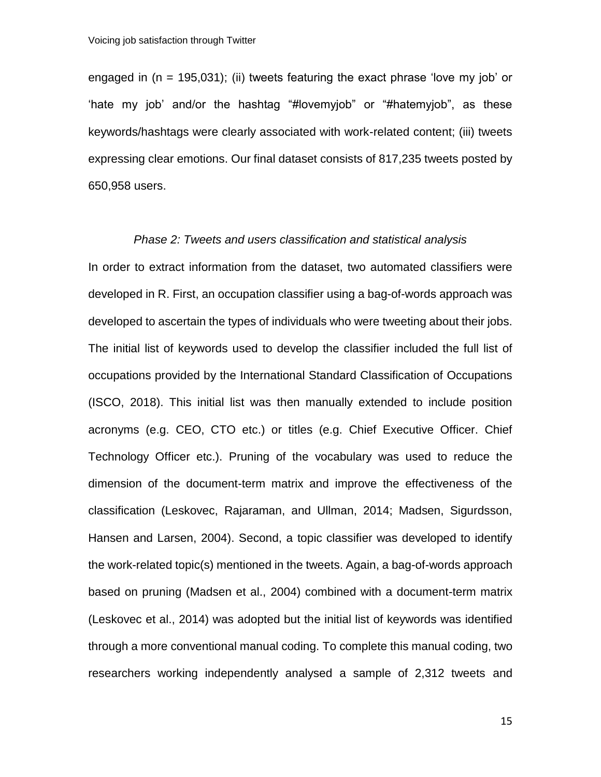engaged in  $(n = 195,031)$ ; (ii) tweets featuring the exact phrase 'love my job' or 'hate my job' and/or the hashtag "#lovemyjob" or "#hatemyjob", as these keywords/hashtags were clearly associated with work-related content; (iii) tweets expressing clear emotions. Our final dataset consists of 817,235 tweets posted by 650,958 users.

#### *Phase 2: Tweets and users classification and statistical analysis*

In order to extract information from the dataset, two automated classifiers were developed in R. First, an occupation classifier using a bag-of-words approach was developed to ascertain the types of individuals who were tweeting about their jobs. The initial list of keywords used to develop the classifier included the full list of occupations provided by the International Standard Classification of Occupations (ISCO, 2018). This initial list was then manually extended to include position acronyms (e.g. CEO, CTO etc.) or titles (e.g. Chief Executive Officer. Chief Technology Officer etc.). Pruning of the vocabulary was used to reduce the dimension of the document-term matrix and improve the effectiveness of the classification (Leskovec, Rajaraman, and Ullman, 2014; Madsen, Sigurdsson, Hansen and Larsen, 2004). Second, a topic classifier was developed to identify the work-related topic(s) mentioned in the tweets. Again, a bag-of-words approach based on pruning (Madsen et al., 2004) combined with a document-term matrix (Leskovec et al., 2014) was adopted but the initial list of keywords was identified through a more conventional manual coding. To complete this manual coding, two researchers working independently analysed a sample of 2,312 tweets and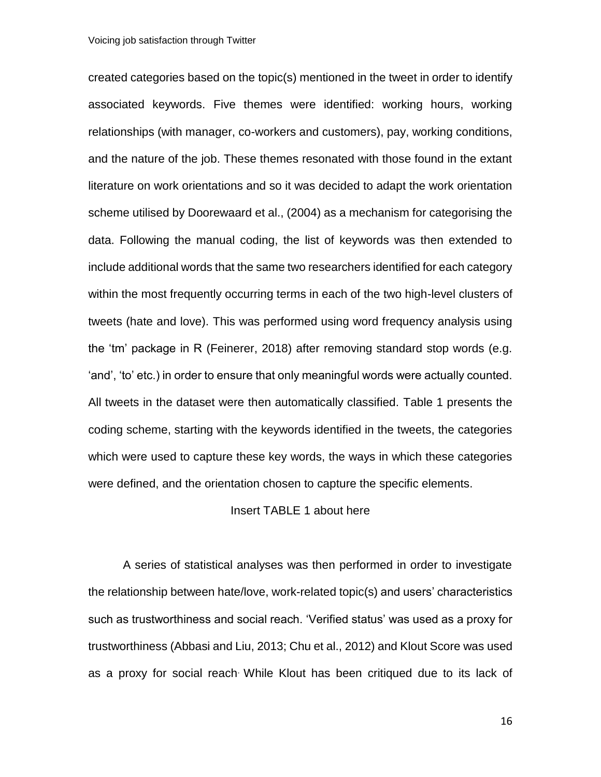created categories based on the topic(s) mentioned in the tweet in order to identify associated keywords. Five themes were identified: working hours, working relationships (with manager, co-workers and customers), pay, working conditions, and the nature of the job. These themes resonated with those found in the extant literature on work orientations and so it was decided to adapt the work orientation scheme utilised by Doorewaard et al., (2004) as a mechanism for categorising the data. Following the manual coding, the list of keywords was then extended to include additional words that the same two researchers identified for each category within the most frequently occurring terms in each of the two high-level clusters of tweets (hate and love). This was performed using word frequency analysis using the 'tm' package in R (Feinerer, 2018) after removing standard stop words (e.g. 'and', 'to' etc.) in order to ensure that only meaningful words were actually counted. All tweets in the dataset were then automatically classified. Table 1 presents the coding scheme, starting with the keywords identified in the tweets, the categories which were used to capture these key words, the ways in which these categories were defined, and the orientation chosen to capture the specific elements.

## Insert TABLE 1 about here

A series of statistical analyses was then performed in order to investigate the relationship between hate/love, work-related topic(s) and users' characteristics such as trustworthiness and social reach. 'Verified status' was used as a proxy for trustworthiness (Abbasi and Liu, 2013; Chu et al., 2012) and Klout Score was used as a proxy for social reach. While Klout has been critiqued due to its lack of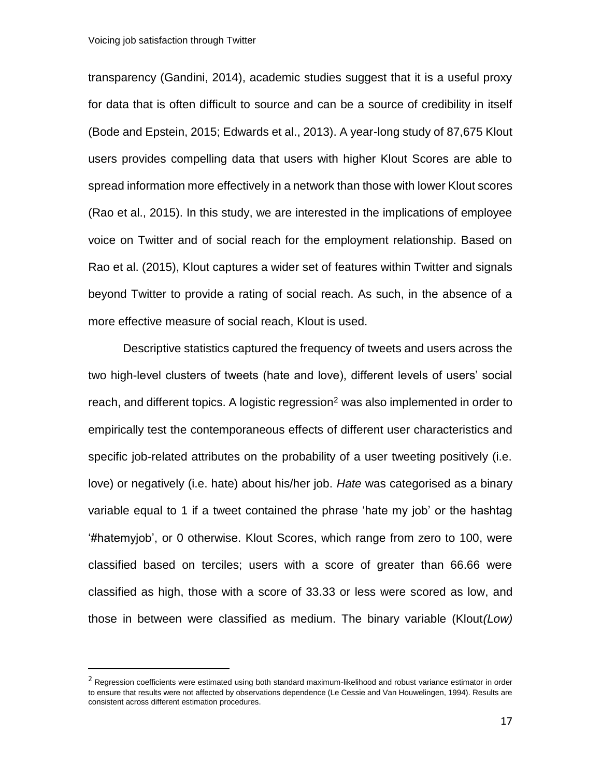l

transparency (Gandini, 2014), academic studies suggest that it is a useful proxy for data that is often difficult to source and can be a source of credibility in itself (Bode and Epstein, 2015; Edwards et al., 2013). A year-long study of 87,675 Klout users provides compelling data that users with higher Klout Scores are able to spread information more effectively in a network than those with lower Klout scores (Rao et al., 2015). In this study, we are interested in the implications of employee voice on Twitter and of social reach for the employment relationship. Based on Rao et al. (2015), Klout captures a wider set of features within Twitter and signals beyond Twitter to provide a rating of social reach. As such, in the absence of a more effective measure of social reach, Klout is used.

Descriptive statistics captured the frequency of tweets and users across the two high-level clusters of tweets (hate and love), different levels of users' social reach, and different topics. A logistic regression<sup>2</sup> was also implemented in order to empirically test the contemporaneous effects of different user characteristics and specific job-related attributes on the probability of a user tweeting positively (i.e. love) or negatively (i.e. hate) about his/her job. *Hate* was categorised as a binary variable equal to 1 if a tweet contained the phrase 'hate my job' or the hashtag '#hatemyjob', or 0 otherwise. Klout Scores, which range from zero to 100, were classified based on terciles; users with a score of greater than 66.66 were classified as high, those with a score of 33.33 or less were scored as low, and those in between were classified as medium. The binary variable (Klout*(Low)* 

<sup>&</sup>lt;sup>2</sup> Regression coefficients were estimated using both standard maximum-likelihood and robust variance estimator in order to ensure that results were not affected by observations dependence (Le Cessie and Van Houwelingen, 1994). Results are consistent across different estimation procedures.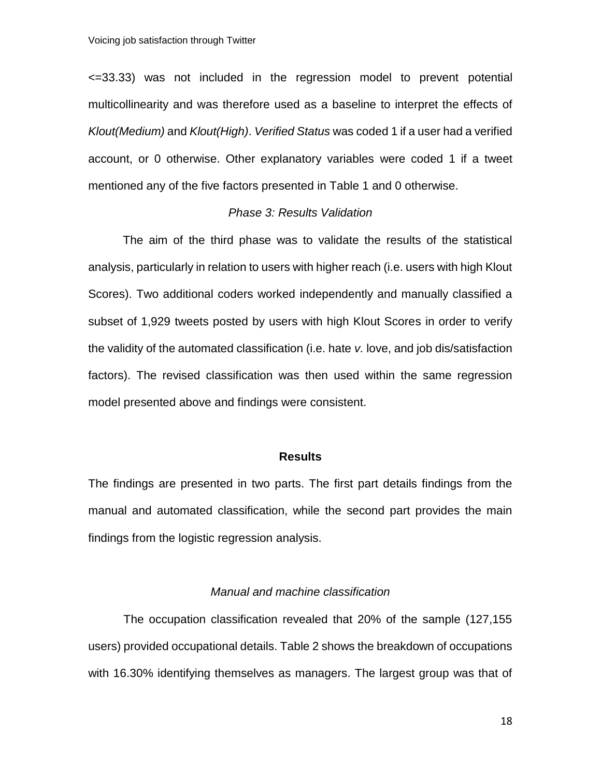<=33.33) was not included in the regression model to prevent potential multicollinearity and was therefore used as a baseline to interpret the effects of *Klout(Medium)* and *Klout(High)*. *Verified Status* was coded 1 if a user had a verified account, or 0 otherwise. Other explanatory variables were coded 1 if a tweet mentioned any of the five factors presented in Table 1 and 0 otherwise.

## *Phase 3: Results Validation*

The aim of the third phase was to validate the results of the statistical analysis, particularly in relation to users with higher reach (i.e. users with high Klout Scores). Two additional coders worked independently and manually classified a subset of 1,929 tweets posted by users with high Klout Scores in order to verify the validity of the automated classification (i.e. hate *v.* love, and job dis/satisfaction factors). The revised classification was then used within the same regression model presented above and findings were consistent.

## **Results**

The findings are presented in two parts. The first part details findings from the manual and automated classification, while the second part provides the main findings from the logistic regression analysis.

#### *Manual and machine classification*

The occupation classification revealed that 20% of the sample (127,155 users) provided occupational details. Table 2 shows the breakdown of occupations with 16.30% identifying themselves as managers. The largest group was that of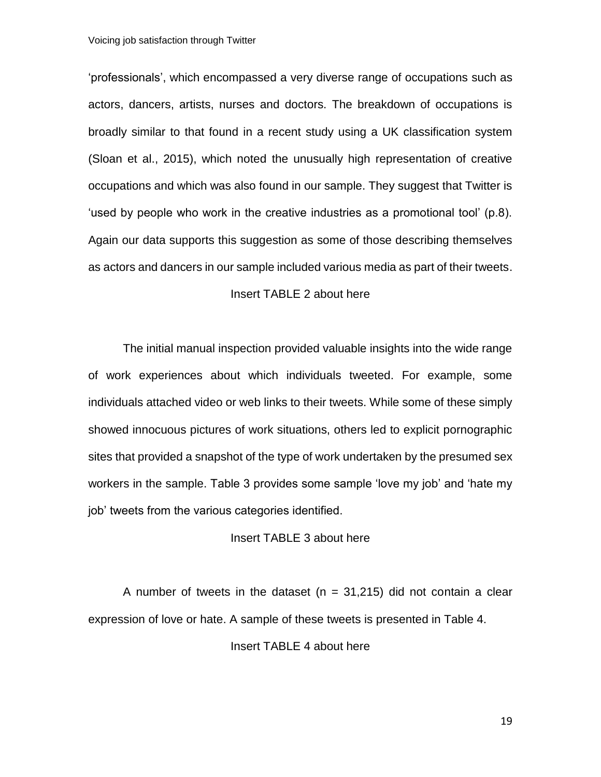'professionals', which encompassed a very diverse range of occupations such as actors, dancers, artists, nurses and doctors. The breakdown of occupations is broadly similar to that found in a recent study using a UK classification system (Sloan et al., 2015), which noted the unusually high representation of creative occupations and which was also found in our sample. They suggest that Twitter is 'used by people who work in the creative industries as a promotional tool' (p.8). Again our data supports this suggestion as some of those describing themselves as actors and dancers in our sample included various media as part of their tweets.

## Insert TABLE 2 about here

The initial manual inspection provided valuable insights into the wide range of work experiences about which individuals tweeted. For example, some individuals attached video or web links to their tweets. While some of these simply showed innocuous pictures of work situations, others led to explicit pornographic sites that provided a snapshot of the type of work undertaken by the presumed sex workers in the sample. Table 3 provides some sample 'love my job' and 'hate my job' tweets from the various categories identified.

## Insert TABLE 3 about here

A number of tweets in the dataset ( $n = 31,215$ ) did not contain a clear expression of love or hate. A sample of these tweets is presented in Table 4.

Insert TABLE 4 about here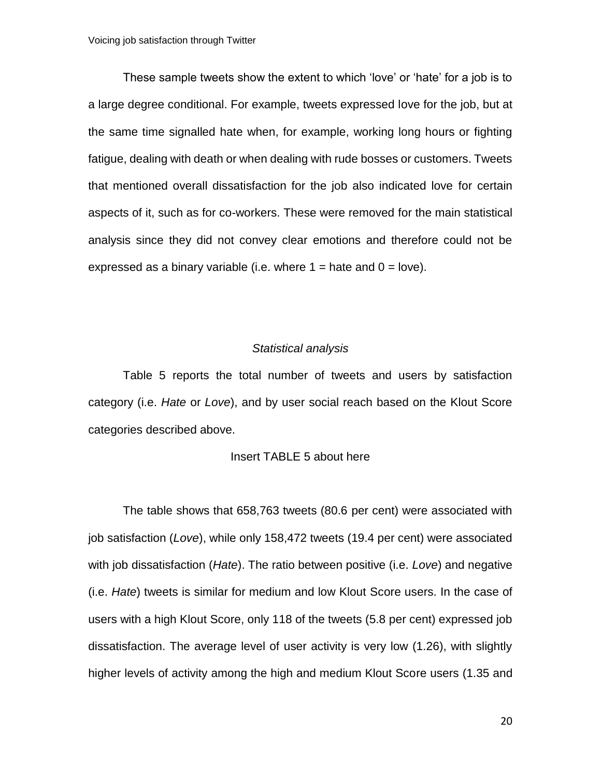These sample tweets show the extent to which 'love' or 'hate' for a job is to a large degree conditional. For example, tweets expressed love for the job, but at the same time signalled hate when, for example, working long hours or fighting fatigue, dealing with death or when dealing with rude bosses or customers. Tweets that mentioned overall dissatisfaction for the job also indicated love for certain aspects of it, such as for co-workers. These were removed for the main statistical analysis since they did not convey clear emotions and therefore could not be expressed as a binary variable (i.e. where  $1 =$  hate and  $0 =$  love).

## *Statistical analysis*

Table 5 reports the total number of tweets and users by satisfaction category (i.e. *Hate* or *Love*), and by user social reach based on the Klout Score categories described above.

## Insert TABLE 5 about here

The table shows that 658,763 tweets (80.6 per cent) were associated with job satisfaction (*Love*), while only 158,472 tweets (19.4 per cent) were associated with job dissatisfaction (*Hate*). The ratio between positive (i.e. *Love*) and negative (i.e. *Hate*) tweets is similar for medium and low Klout Score users. In the case of users with a high Klout Score, only 118 of the tweets (5.8 per cent) expressed job dissatisfaction. The average level of user activity is very low (1.26), with slightly higher levels of activity among the high and medium Klout Score users (1.35 and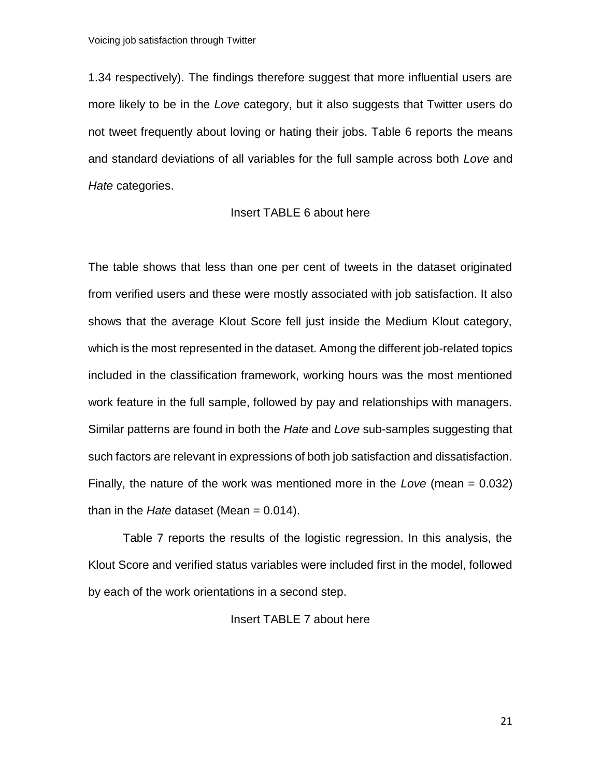1.34 respectively). The findings therefore suggest that more influential users are more likely to be in the *Love* category, but it also suggests that Twitter users do not tweet frequently about loving or hating their jobs. Table 6 reports the means and standard deviations of all variables for the full sample across both *Love* and *Hate* categories.

## Insert TABLE 6 about here

The table shows that less than one per cent of tweets in the dataset originated from verified users and these were mostly associated with job satisfaction. It also shows that the average Klout Score fell just inside the Medium Klout category, which is the most represented in the dataset. Among the different job-related topics included in the classification framework, working hours was the most mentioned work feature in the full sample, followed by pay and relationships with managers. Similar patterns are found in both the *Hate* and *Love* sub-samples suggesting that such factors are relevant in expressions of both job satisfaction and dissatisfaction. Finally, the nature of the work was mentioned more in the *Love* (mean = 0.032) than in the *Hate* dataset (Mean = 0.014).

Table 7 reports the results of the logistic regression. In this analysis, the Klout Score and verified status variables were included first in the model, followed by each of the work orientations in a second step.

## Insert TABLE 7 about here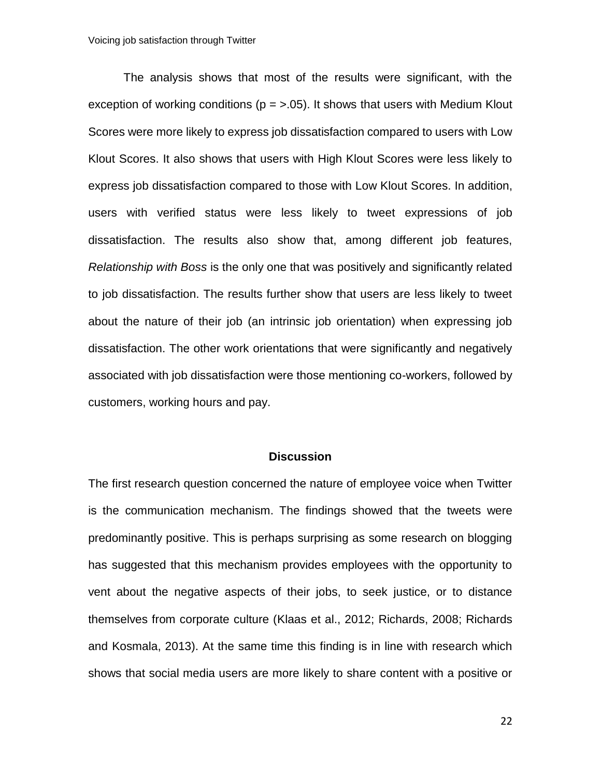The analysis shows that most of the results were significant, with the exception of working conditions ( $p = 5.05$ ). It shows that users with Medium Klout Scores were more likely to express job dissatisfaction compared to users with Low Klout Scores. It also shows that users with High Klout Scores were less likely to express job dissatisfaction compared to those with Low Klout Scores. In addition, users with verified status were less likely to tweet expressions of job dissatisfaction. The results also show that, among different job features, *Relationship with Boss* is the only one that was positively and significantly related to job dissatisfaction. The results further show that users are less likely to tweet about the nature of their job (an intrinsic job orientation) when expressing job dissatisfaction. The other work orientations that were significantly and negatively associated with job dissatisfaction were those mentioning co-workers, followed by customers, working hours and pay.

#### **Discussion**

The first research question concerned the nature of employee voice when Twitter is the communication mechanism. The findings showed that the tweets were predominantly positive. This is perhaps surprising as some research on blogging has suggested that this mechanism provides employees with the opportunity to vent about the negative aspects of their jobs, to seek justice, or to distance themselves from corporate culture (Klaas et al., 2012; Richards, 2008; Richards and Kosmala, 2013). At the same time this finding is in line with research which shows that social media users are more likely to share content with a positive or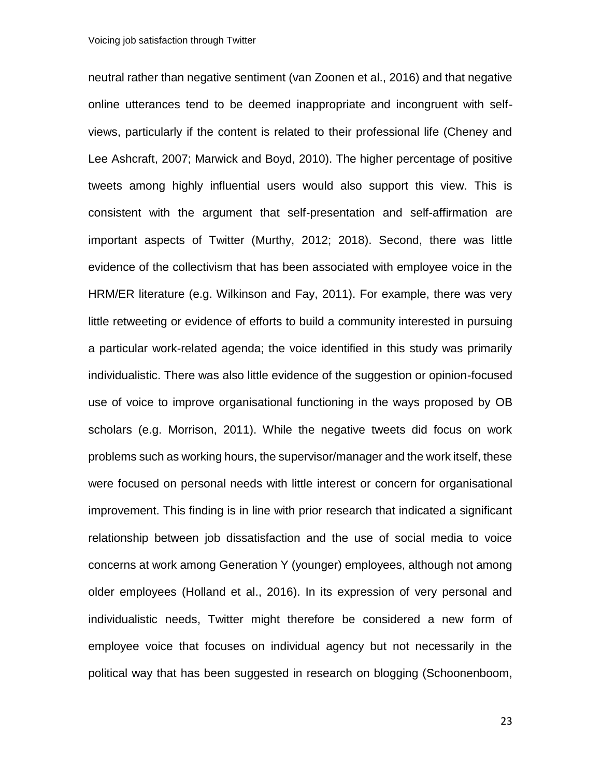neutral rather than negative sentiment (van Zoonen et al., 2016) and that negative online utterances tend to be deemed inappropriate and incongruent with selfviews, particularly if the content is related to their professional life (Cheney and Lee Ashcraft, 2007; Marwick and Boyd, 2010). The higher percentage of positive tweets among highly influential users would also support this view. This is consistent with the argument that self-presentation and self-affirmation are important aspects of Twitter (Murthy, 2012; 2018). Second, there was little evidence of the collectivism that has been associated with employee voice in the HRM/ER literature (e.g. Wilkinson and Fay, 2011). For example, there was very little retweeting or evidence of efforts to build a community interested in pursuing a particular work-related agenda; the voice identified in this study was primarily individualistic. There was also little evidence of the suggestion or opinion-focused use of voice to improve organisational functioning in the ways proposed by OB scholars (e.g. Morrison, 2011). While the negative tweets did focus on work problems such as working hours, the supervisor/manager and the work itself, these were focused on personal needs with little interest or concern for organisational improvement. This finding is in line with prior research that indicated a significant relationship between job dissatisfaction and the use of social media to voice concerns at work among Generation Y (younger) employees, although not among older employees (Holland et al., 2016). In its expression of very personal and individualistic needs, Twitter might therefore be considered a new form of employee voice that focuses on individual agency but not necessarily in the political way that has been suggested in research on blogging (Schoonenboom,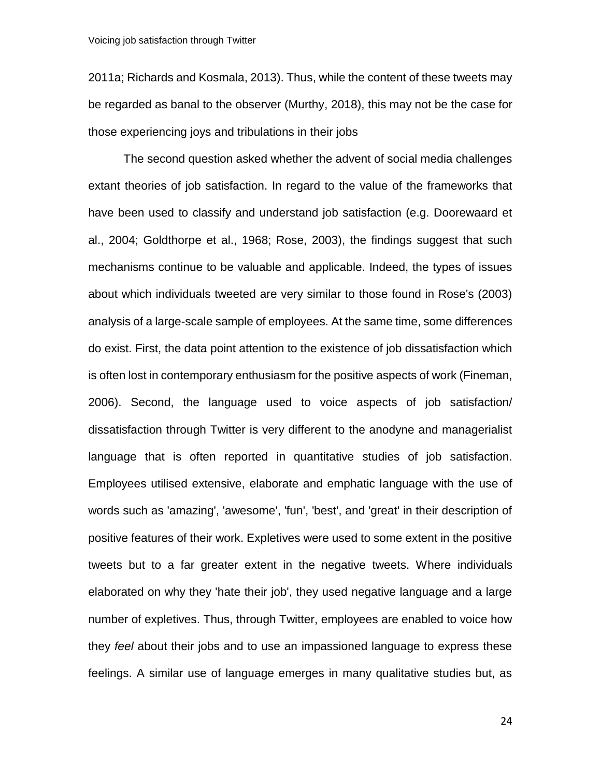2011a; Richards and Kosmala, 2013). Thus, while the content of these tweets may be regarded as banal to the observer (Murthy, 2018), this may not be the case for those experiencing joys and tribulations in their jobs

The second question asked whether the advent of social media challenges extant theories of job satisfaction. In regard to the value of the frameworks that have been used to classify and understand job satisfaction (e.g. Doorewaard et al., 2004; Goldthorpe et al., 1968; Rose, 2003), the findings suggest that such mechanisms continue to be valuable and applicable. Indeed, the types of issues about which individuals tweeted are very similar to those found in Rose's (2003) analysis of a large-scale sample of employees. At the same time, some differences do exist. First, the data point attention to the existence of job dissatisfaction which is often lost in contemporary enthusiasm for the positive aspects of work (Fineman, 2006). Second, the language used to voice aspects of job satisfaction/ dissatisfaction through Twitter is very different to the anodyne and managerialist language that is often reported in quantitative studies of job satisfaction. Employees utilised extensive, elaborate and emphatic language with the use of words such as 'amazing', 'awesome', 'fun', 'best', and 'great' in their description of positive features of their work. Expletives were used to some extent in the positive tweets but to a far greater extent in the negative tweets. Where individuals elaborated on why they 'hate their job', they used negative language and a large number of expletives. Thus, through Twitter, employees are enabled to voice how they *feel* about their jobs and to use an impassioned language to express these feelings. A similar use of language emerges in many qualitative studies but, as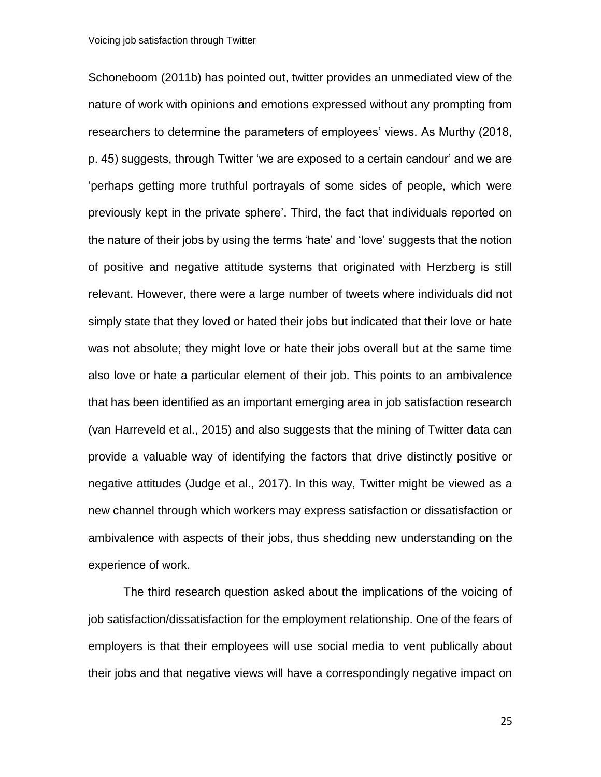Schoneboom (2011b) has pointed out, twitter provides an unmediated view of the nature of work with opinions and emotions expressed without any prompting from researchers to determine the parameters of employees' views. As Murthy (2018, p. 45) suggests, through Twitter 'we are exposed to a certain candour' and we are 'perhaps getting more truthful portrayals of some sides of people, which were previously kept in the private sphere'. Third, the fact that individuals reported on the nature of their jobs by using the terms 'hate' and 'love' suggests that the notion of positive and negative attitude systems that originated with Herzberg is still relevant. However, there were a large number of tweets where individuals did not simply state that they loved or hated their jobs but indicated that their love or hate was not absolute; they might love or hate their jobs overall but at the same time also love or hate a particular element of their job. This points to an ambivalence that has been identified as an important emerging area in job satisfaction research (van Harreveld et al., 2015) and also suggests that the mining of Twitter data can provide a valuable way of identifying the factors that drive distinctly positive or negative attitudes (Judge et al., 2017). In this way, Twitter might be viewed as a new channel through which workers may express satisfaction or dissatisfaction or ambivalence with aspects of their jobs, thus shedding new understanding on the experience of work.

The third research question asked about the implications of the voicing of job satisfaction/dissatisfaction for the employment relationship. One of the fears of employers is that their employees will use social media to vent publically about their jobs and that negative views will have a correspondingly negative impact on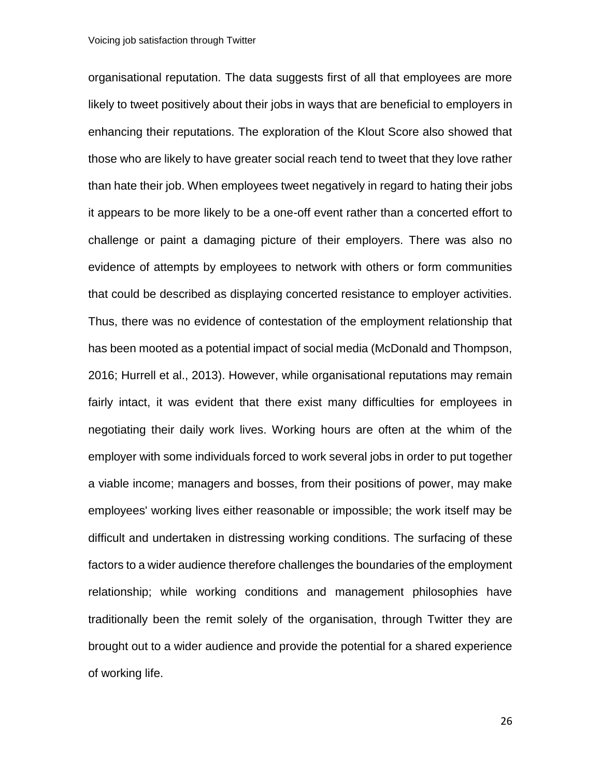organisational reputation. The data suggests first of all that employees are more likely to tweet positively about their jobs in ways that are beneficial to employers in enhancing their reputations. The exploration of the Klout Score also showed that those who are likely to have greater social reach tend to tweet that they love rather than hate their job. When employees tweet negatively in regard to hating their jobs it appears to be more likely to be a one-off event rather than a concerted effort to challenge or paint a damaging picture of their employers. There was also no evidence of attempts by employees to network with others or form communities that could be described as displaying concerted resistance to employer activities. Thus, there was no evidence of contestation of the employment relationship that has been mooted as a potential impact of social media (McDonald and Thompson, 2016; Hurrell et al., 2013). However, while organisational reputations may remain fairly intact, it was evident that there exist many difficulties for employees in negotiating their daily work lives. Working hours are often at the whim of the employer with some individuals forced to work several jobs in order to put together a viable income; managers and bosses, from their positions of power, may make employees' working lives either reasonable or impossible; the work itself may be difficult and undertaken in distressing working conditions. The surfacing of these factors to a wider audience therefore challenges the boundaries of the employment relationship; while working conditions and management philosophies have traditionally been the remit solely of the organisation, through Twitter they are brought out to a wider audience and provide the potential for a shared experience of working life.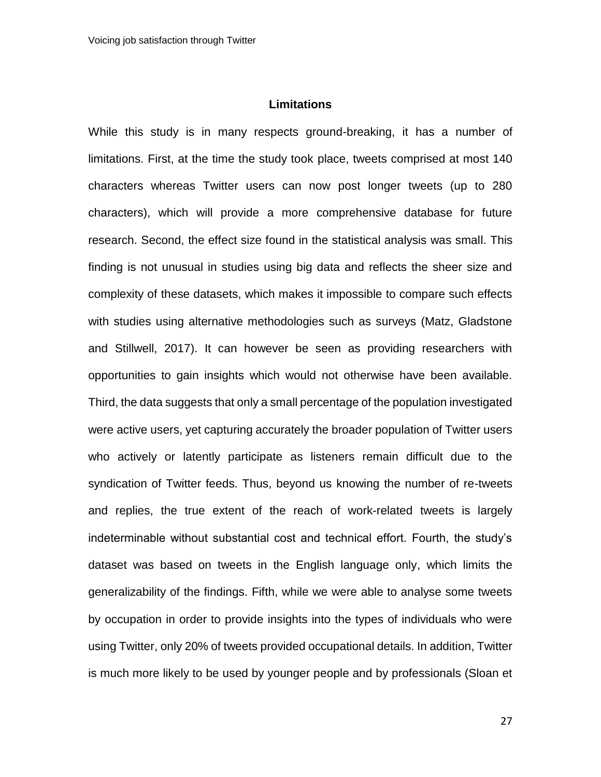## **Limitations**

While this study is in many respects ground-breaking, it has a number of limitations. First, at the time the study took place, tweets comprised at most 140 characters whereas Twitter users can now post longer tweets (up to 280 characters), which will provide a more comprehensive database for future research. Second, the effect size found in the statistical analysis was small. This finding is not unusual in studies using big data and reflects the sheer size and complexity of these datasets, which makes it impossible to compare such effects with studies using alternative methodologies such as surveys (Matz, Gladstone and Stillwell, 2017). It can however be seen as providing researchers with opportunities to gain insights which would not otherwise have been available. Third, the data suggests that only a small percentage of the population investigated were active users, yet capturing accurately the broader population of Twitter users who actively or latently participate as listeners remain difficult due to the syndication of Twitter feeds. Thus, beyond us knowing the number of re-tweets and replies, the true extent of the reach of work-related tweets is largely indeterminable without substantial cost and technical effort. Fourth, the study's dataset was based on tweets in the English language only, which limits the generalizability of the findings. Fifth, while we were able to analyse some tweets by occupation in order to provide insights into the types of individuals who were using Twitter, only 20% of tweets provided occupational details. In addition, Twitter is much more likely to be used by younger people and by professionals (Sloan et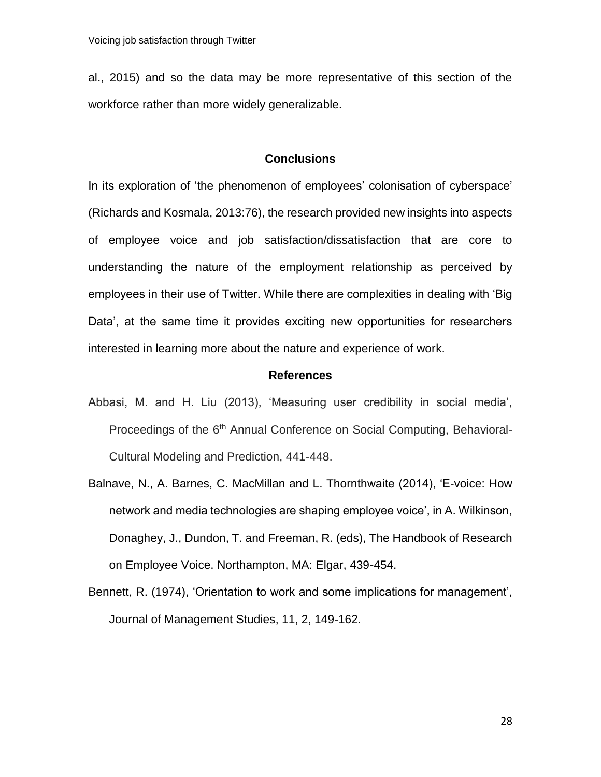al., 2015) and so the data may be more representative of this section of the workforce rather than more widely generalizable.

## **Conclusions**

In its exploration of 'the phenomenon of employees' colonisation of cyberspace' (Richards and Kosmala, 2013:76), the research provided new insights into aspects of employee voice and job satisfaction/dissatisfaction that are core to understanding the nature of the employment relationship as perceived by employees in their use of Twitter. While there are complexities in dealing with 'Big Data', at the same time it provides exciting new opportunities for researchers interested in learning more about the nature and experience of work.

#### **References**

- Abbasi, M. and H. Liu (2013), 'Measuring user credibility in social media', Proceedings of the 6<sup>th</sup> Annual Conference on Social Computing, Behavioral-Cultural Modeling and Prediction, 441-448.
- Balnave, N., A. Barnes, C. MacMillan and L. Thornthwaite (2014), 'E-voice: How network and media technologies are shaping employee voice', in A. Wilkinson, Donaghey, J., Dundon, T. and Freeman, R. (eds), The Handbook of Research on Employee Voice. Northampton, MA: Elgar, 439-454.
- Bennett, R. (1974), 'Orientation to work and some implications for management', Journal of Management Studies, 11, 2, 149-162.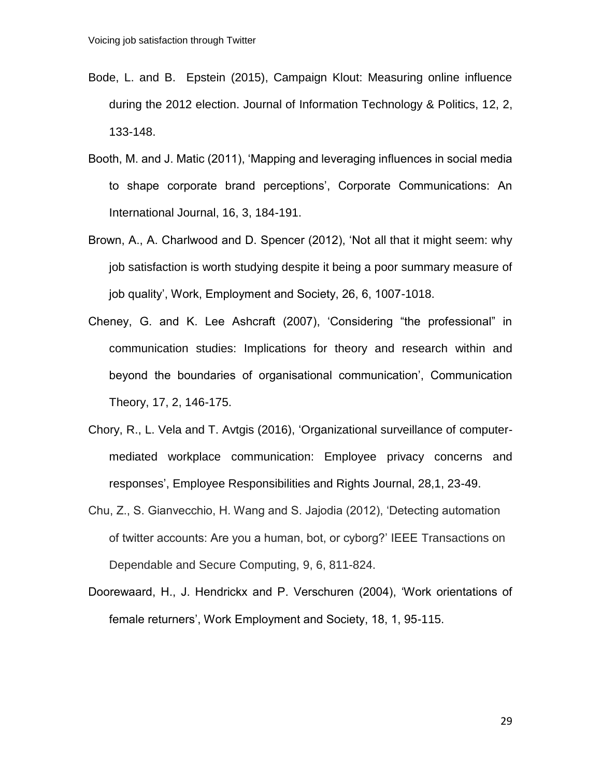- Bode, L. and B. Epstein (2015), Campaign Klout: Measuring online influence during the 2012 election. Journal of Information Technology & Politics, 12, 2, 133-148.
- Booth, M. and J. Matic (2011), 'Mapping and leveraging influences in social media to shape corporate brand perceptions', Corporate Communications: An International Journal, 16, 3, 184-191.
- Brown, A., A. Charlwood and D. Spencer (2012), 'Not all that it might seem: why job satisfaction is worth studying despite it being a poor summary measure of job quality', Work, Employment and Society, 26, 6, 1007-1018.
- Cheney, G. and K. Lee Ashcraft (2007), 'Considering "the professional" in communication studies: Implications for theory and research within and beyond the boundaries of organisational communication', Communication Theory, 17, 2, 146-175.
- Chory, R., L. Vela and T. Avtgis (2016), 'Organizational surveillance of computermediated workplace communication: Employee privacy concerns and responses', Employee Responsibilities and Rights Journal, 28,1, 23-49.
- Chu, Z., S. Gianvecchio, H. Wang and S. Jajodia (2012), 'Detecting automation of twitter accounts: Are you a human, bot, or cyborg?' IEEE Transactions on Dependable and Secure Computing, 9, 6, 811-824.
- Doorewaard, H., J. Hendrickx and P. Verschuren (2004), 'Work orientations of female returners', Work Employment and Society, 18, 1, 95-115.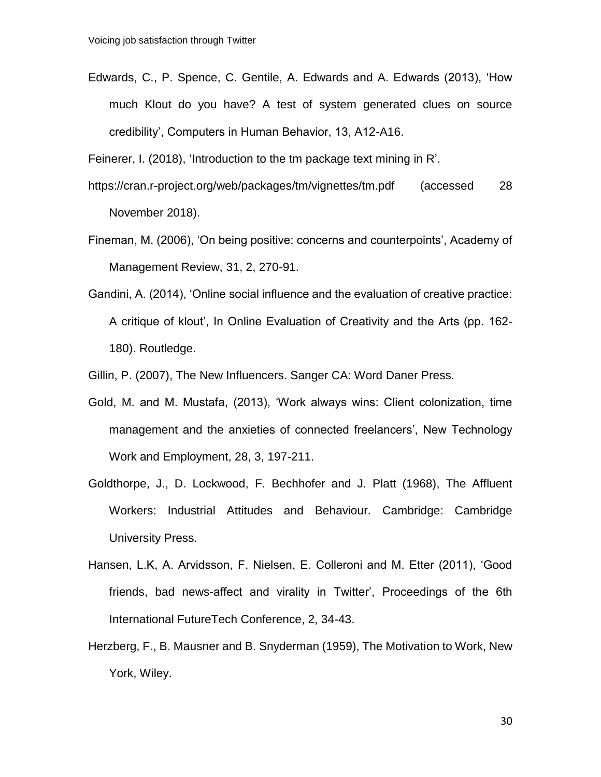Edwards, C., P. Spence, C. Gentile, A. Edwards and A. Edwards (2013), 'How much Klout do you have? A test of system generated clues on source credibility', Computers in Human Behavior, 13, A12-A16.

Feinerer, I. (2018), 'Introduction to the tm package text mining in R'.

- https://cran.r-project.org/web/packages/tm/vignettes/tm.pdf (accessed 28 November 2018).
- Fineman, M. (2006), 'On being positive: concerns and counterpoints', Academy of Management Review, 31, 2, 270-91.
- Gandini, A. (2014), 'Online social influence and the evaluation of creative practice: A critique of klout', In Online Evaluation of Creativity and the Arts (pp. 162- 180). Routledge.

Gillin, P. (2007), The New Influencers. Sanger CA: Word Daner Press.

- Gold, M. and M. Mustafa, (2013), 'Work always wins: Client colonization, time management and the anxieties of connected freelancers', New Technology Work and Employment, 28, 3, 197-211.
- Goldthorpe, J., D. Lockwood, F. Bechhofer and J. Platt (1968), The Affluent Workers: Industrial Attitudes and Behaviour. Cambridge: Cambridge University Press.
- Hansen, L.K, A. Arvidsson, F. Nielsen, E. Colleroni and M. Etter (2011), 'Good friends, bad news-affect and virality in Twitter', Proceedings of the 6th International FutureTech Conference, 2, 34-43.
- Herzberg, F., B. Mausner and B. Snyderman (1959), The Motivation to Work, New York, Wiley.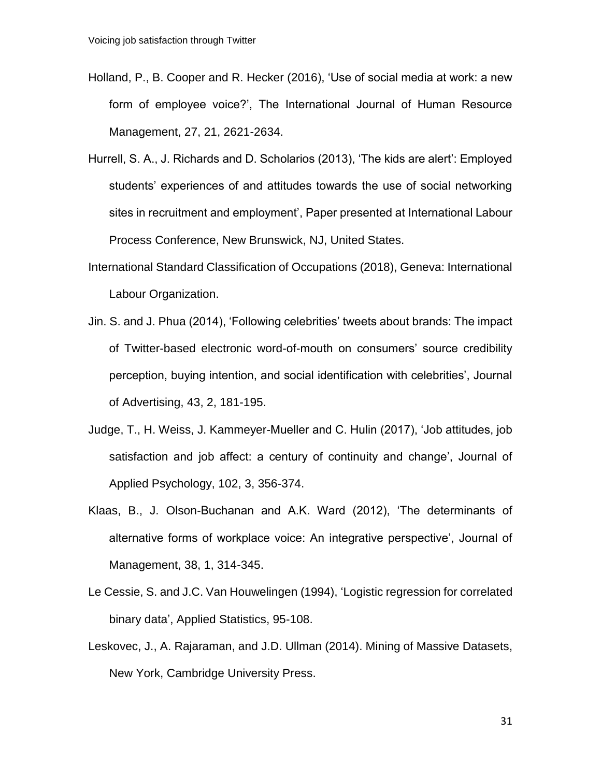- Holland, P., B. Cooper and R. Hecker (2016), 'Use of social media at work: a new form of employee voice?', The International Journal of Human Resource Management, 27, 21, 2621-2634.
- Hurrell, S. A., J. Richards and D. Scholarios (2013), 'The kids are alert': Employed students' experiences of and attitudes towards the use of social networking sites in recruitment and employment', Paper presented at International Labour Process Conference, New Brunswick, NJ, United States.
- International Standard Classification of Occupations (2018), Geneva: International Labour Organization.
- Jin. S. and J. Phua (2014), 'Following celebrities' tweets about brands: The impact of Twitter-based electronic word-of-mouth on consumers' source credibility perception, buying intention, and social identification with celebrities', Journal of Advertising, 43, 2, 181-195.
- Judge, T., H. Weiss, J. Kammeyer-Mueller and C. Hulin (2017), 'Job attitudes, job satisfaction and job affect: a century of continuity and change', Journal of Applied Psychology, 102, 3, 356-374.
- Klaas, B., J. Olson-Buchanan and A.K. Ward (2012), 'The determinants of alternative forms of workplace voice: An integrative perspective', Journal of Management, 38, 1, 314-345.
- Le Cessie, S. and J.C. Van Houwelingen (1994), 'Logistic regression for correlated binary data', Applied Statistics, 95-108.
- Leskovec, J., A. Rajaraman, and J.D. Ullman (2014). Mining of Massive Datasets, New York, Cambridge University Press.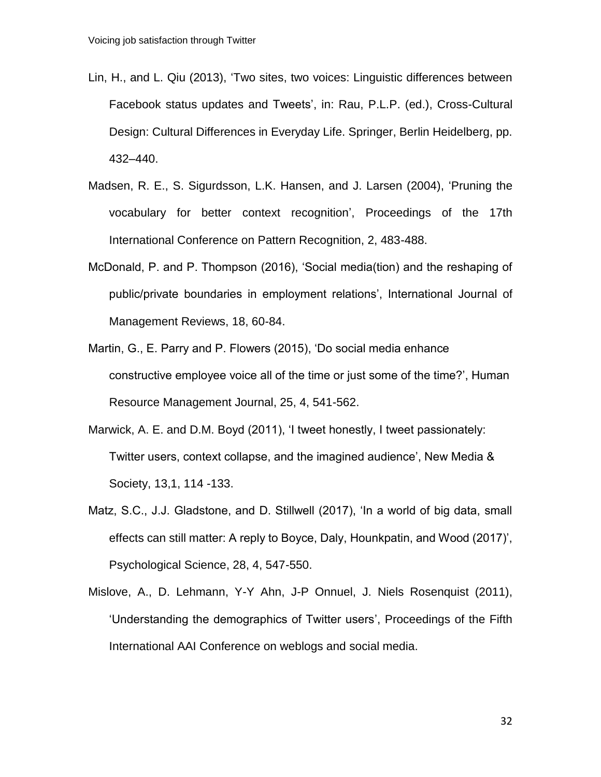- Lin, H., and L. Qiu (2013), 'Two sites, two voices: Linguistic differences between Facebook status updates and Tweets', in: Rau, P.L.P. (ed.), Cross-Cultural Design: Cultural Differences in Everyday Life. Springer, Berlin Heidelberg, pp. 432–440.
- Madsen, R. E., S. Sigurdsson, L.K. Hansen, and J. Larsen (2004), 'Pruning the vocabulary for better context recognition', Proceedings of the 17th International Conference on Pattern Recognition, 2, 483-488.
- McDonald, P. and P. Thompson (2016), 'Social media(tion) and the reshaping of public/private boundaries in employment relations', International Journal of Management Reviews, 18, 60-84.
- Martin, G., E. Parry and P. Flowers (2015), 'Do social media enhance constructive employee voice all of the time or just some of the time?', Human Resource Management Journal, 25, 4, 541-562.
- Marwick, A. E. and D.M. Boyd (2011), 'I tweet honestly, I tweet passionately: Twitter users, context collapse, and the imagined audience', New Media & Society, 13,1, 114 -133.
- Matz, S.C., J.J. Gladstone, and D. Stillwell (2017), 'In a world of big data, small effects can still matter: A reply to Boyce, Daly, Hounkpatin, and Wood (2017)', Psychological Science, 28, 4, 547-550.
- Mislove, A., D. Lehmann, Y-Y Ahn, J-P Onnuel, J. Niels Rosenquist (2011), 'Understanding the demographics of Twitter users', Proceedings of the Fifth International AAI Conference on weblogs and social media.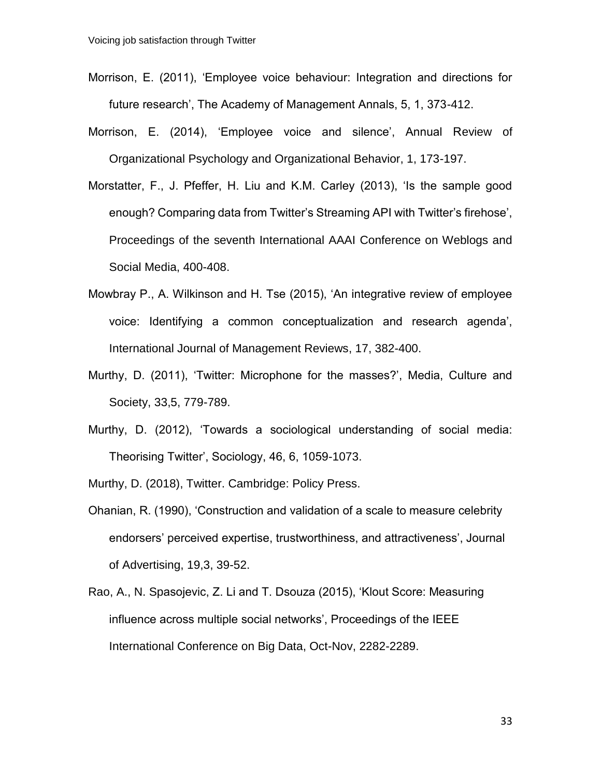- Morrison, E. (2011), 'Employee voice behaviour: Integration and directions for future research', The Academy of Management Annals, 5, 1, 373-412.
- Morrison, E. (2014), 'Employee voice and silence', Annual Review of Organizational Psychology and Organizational Behavior, 1, 173-197.
- Morstatter, F., J. Pfeffer, H. Liu and K.M. Carley (2013), 'Is the sample good enough? Comparing data from Twitter's Streaming API with Twitter's firehose', Proceedings of the seventh International AAAI Conference on Weblogs and Social Media, 400-408.
- Mowbray P., A. Wilkinson and H. Tse (2015), 'An integrative review of employee voice: Identifying a common conceptualization and research agenda', International Journal of Management Reviews, 17, 382-400.
- Murthy, D. (2011), 'Twitter: Microphone for the masses?', Media, Culture and Society, 33,5, 779-789.
- Murthy, D. (2012), 'Towards a sociological understanding of social media: Theorising Twitter', Sociology, 46, 6, 1059-1073.

Murthy, D. (2018), Twitter. Cambridge: Policy Press.

- Ohanian, R. (1990), 'Construction and validation of a scale to measure celebrity endorsers' perceived expertise, trustworthiness, and attractiveness', Journal of Advertising, 19,3, 39-52.
- Rao, A., N. Spasojevic, Z. Li and T. Dsouza (2015), 'Klout Score: Measuring influence across multiple social networks', Proceedings of the IEEE International Conference on Big Data, Oct-Nov, 2282-2289.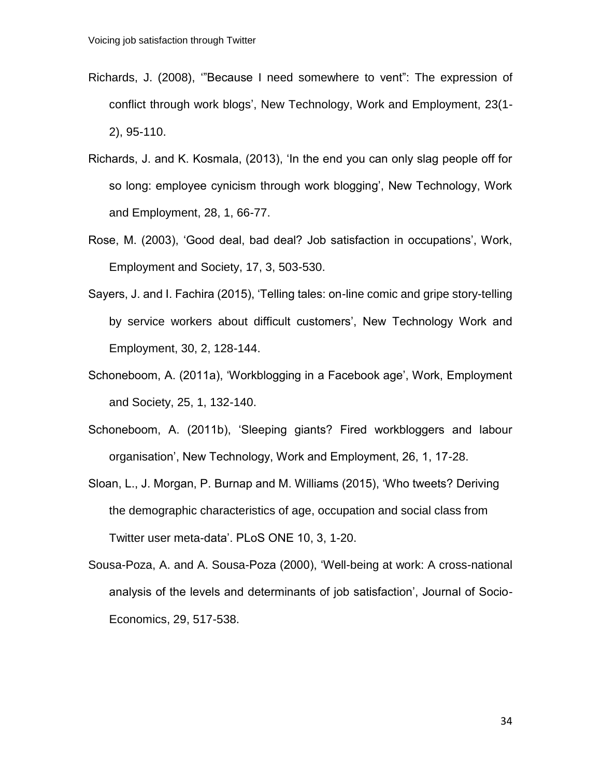- Richards, J. (2008), '"Because I need somewhere to vent": The expression of conflict through work blogs', New Technology, Work and Employment, 23(1- 2), 95-110.
- Richards, J. and K. Kosmala, (2013), 'In the end you can only slag people off for so long: employee cynicism through work blogging', New Technology, Work and Employment, 28, 1, 66-77.
- Rose, M. (2003), 'Good deal, bad deal? Job satisfaction in occupations', Work, Employment and Society, 17, 3, 503-530.
- Sayers, J. and I. Fachira (2015), 'Telling tales: on-line comic and gripe story-telling by service workers about difficult customers', New Technology Work and Employment, 30, 2, 128-144.
- Schoneboom, A. (2011a), 'Workblogging in a Facebook age', Work, Employment and Society, 25, 1, 132-140.
- Schoneboom, A. (2011b), 'Sleeping giants? Fired workbloggers and labour organisation', New Technology, Work and Employment, 26, 1, 17-28.
- Sloan, L., J. Morgan, P. Burnap and M. Williams (2015), 'Who tweets? Deriving the demographic characteristics of age, occupation and social class from Twitter user meta-data'. PLoS ONE 10, 3, 1-20.
- Sousa-Poza, A. and A. Sousa-Poza (2000), 'Well-being at work: A cross-national analysis of the levels and determinants of job satisfaction', Journal of Socio-Economics, 29, 517-538.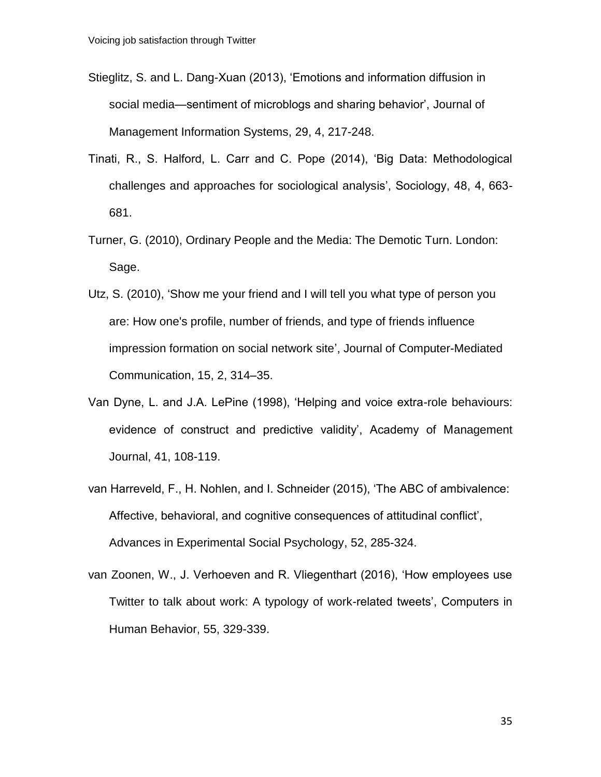- Stieglitz, S. and L. Dang-Xuan (2013), 'Emotions and information diffusion in social media—sentiment of microblogs and sharing behavior', Journal of Management Information Systems, 29, 4, 217-248.
- Tinati, R., S. Halford, L. Carr and C. Pope (2014), 'Big Data: Methodological challenges and approaches for sociological analysis', Sociology, 48, 4, 663- 681.
- Turner, G. (2010), Ordinary People and the Media: The Demotic Turn. London: Sage.
- Utz, S. (2010), 'Show me your friend and I will tell you what type of person you are: How one's profile, number of friends, and type of friends influence impression formation on social network site', Journal of Computer-Mediated Communication, 15, 2, 314–35.
- Van Dyne, L. and J.A. LePine (1998), 'Helping and voice extra-role behaviours: evidence of construct and predictive validity', Academy of Management Journal, 41, 108-119.
- van Harreveld, F., H. Nohlen, and I. Schneider (2015), 'The ABC of ambivalence: Affective, behavioral, and cognitive consequences of attitudinal conflict', Advances in Experimental Social Psychology, 52, 285-324.
- van Zoonen, W., J. Verhoeven and R. Vliegenthart (2016), 'How employees use Twitter to talk about work: A typology of work-related tweets', Computers in Human Behavior, 55, 329-339.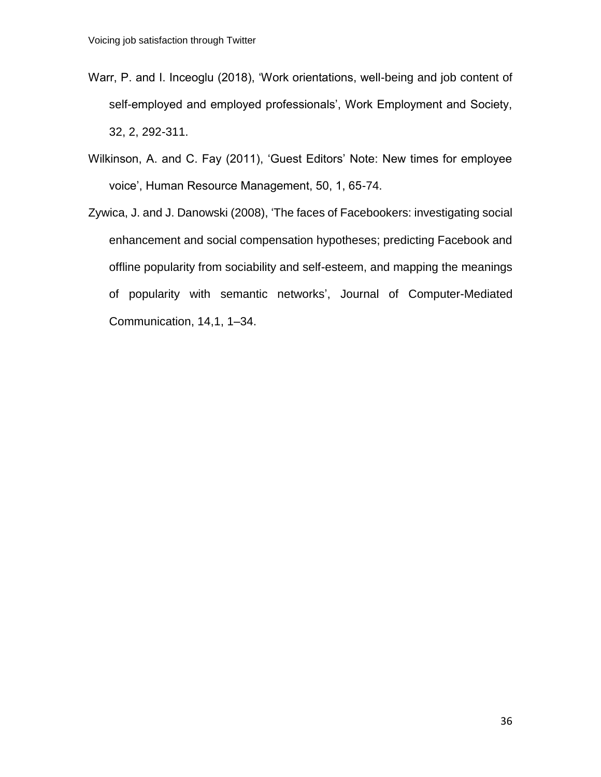- Warr, P. and I. Inceoglu (2018), 'Work orientations, well-being and job content of self-employed and employed professionals', Work Employment and Society, 32, 2, 292-311.
- Wilkinson, A. and C. Fay (2011), 'Guest Editors' Note: New times for employee voice', Human Resource Management, 50, 1, 65-74.
- Zywica, J. and J. Danowski (2008), 'The faces of Facebookers: investigating social enhancement and social compensation hypotheses; predicting Facebook and offline popularity from sociability and self-esteem, and mapping the meanings of popularity with semantic networks', Journal of Computer-Mediated Communication, 14,1, 1–34.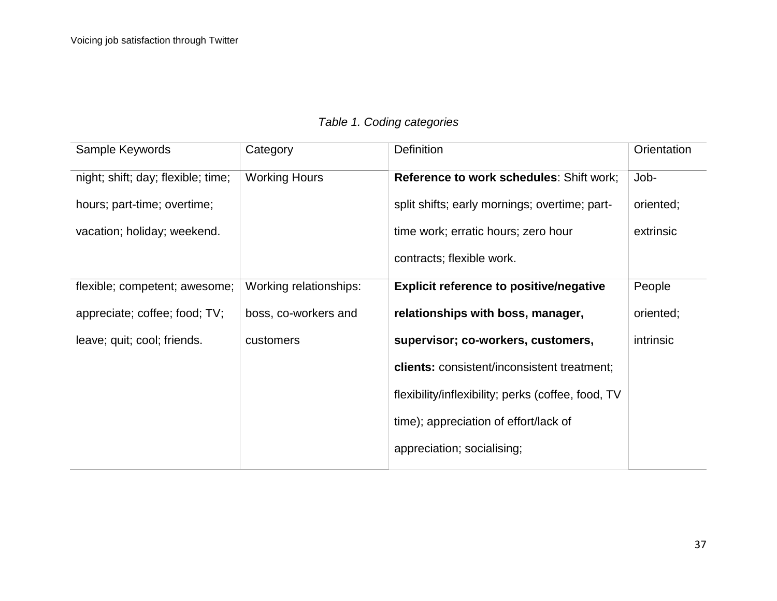|  |  |  |  | Table 1. Coding categories |
|--|--|--|--|----------------------------|
|--|--|--|--|----------------------------|

| Sample Keywords                    | Category               | <b>Definition</b>                                  | Orientation |
|------------------------------------|------------------------|----------------------------------------------------|-------------|
| night; shift; day; flexible; time; | <b>Working Hours</b>   | <b>Reference to work schedules: Shift work;</b>    | Job-        |
| hours; part-time; overtime;        |                        | split shifts; early mornings; overtime; part-      | oriented;   |
| vacation; holiday; weekend.        |                        | time work; erratic hours; zero hour                | extrinsic   |
|                                    |                        | contracts; flexible work.                          |             |
| flexible; competent; awesome;      | Working relationships: | <b>Explicit reference to positive/negative</b>     | People      |
| appreciate; coffee; food; TV;      | boss, co-workers and   | relationships with boss, manager,                  | oriented;   |
| leave; quit; cool; friends.        | customers              | supervisor; co-workers, customers,                 | intrinsic   |
|                                    |                        | <b>clients:</b> consistent/inconsistent treatment; |             |
|                                    |                        | flexibility/inflexibility; perks (coffee, food, TV |             |
|                                    |                        | time); appreciation of effort/lack of              |             |
|                                    |                        | appreciation; socialising;                         |             |
|                                    |                        |                                                    |             |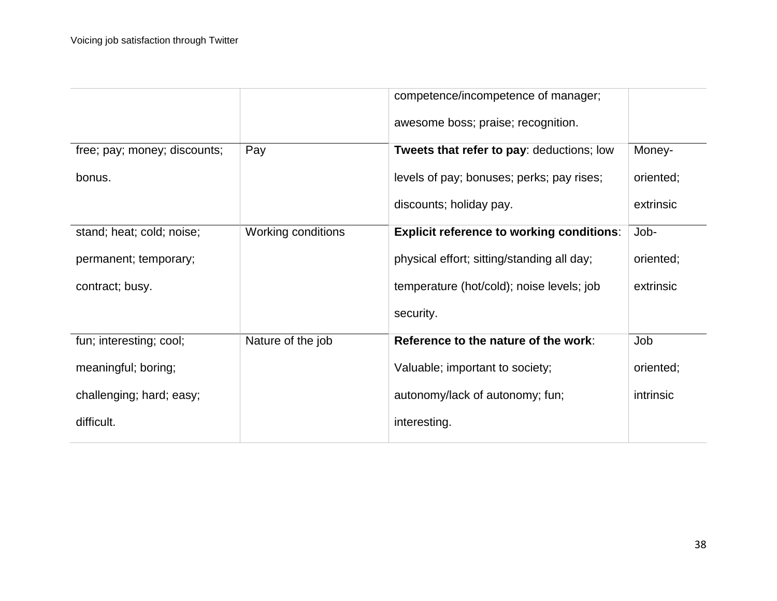|                              |                    | competence/incompetence of manager;              |           |
|------------------------------|--------------------|--------------------------------------------------|-----------|
|                              |                    | awesome boss; praise; recognition.               |           |
| free; pay; money; discounts; | Pay                | Tweets that refer to pay: deductions; low        | Money-    |
| bonus.                       |                    | levels of pay; bonuses; perks; pay rises;        | oriented; |
|                              |                    | discounts; holiday pay.                          | extrinsic |
| stand; heat; cold; noise;    | Working conditions | <b>Explicit reference to working conditions:</b> | Job-      |
| permanent; temporary;        |                    | physical effort; sitting/standing all day;       | oriented; |
| contract; busy.              |                    | temperature (hot/cold); noise levels; job        | extrinsic |
|                              |                    | security.                                        |           |
| fun; interesting; cool;      | Nature of the job  | Reference to the nature of the work:             | Job       |
| meaningful; boring;          |                    | Valuable; important to society;                  | oriented; |
| challenging; hard; easy;     |                    | autonomy/lack of autonomy; fun;                  | intrinsic |
| difficult.                   |                    | interesting.                                     |           |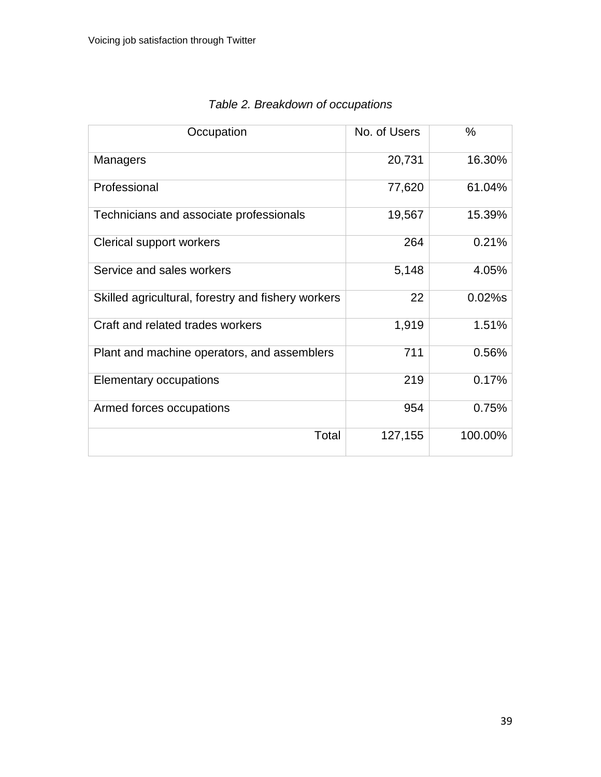| Occupation                                         | No. of Users | $\frac{0}{0}$ |
|----------------------------------------------------|--------------|---------------|
| <b>Managers</b>                                    | 20,731       | 16.30%        |
| Professional                                       | 77,620       | 61.04%        |
| Technicians and associate professionals            | 19,567       | 15.39%        |
| Clerical support workers                           | 264          | 0.21%         |
| Service and sales workers                          | 5,148        | 4.05%         |
| Skilled agricultural, forestry and fishery workers | 22           | $0.02%$ s     |
| Craft and related trades workers                   | 1,919        | 1.51%         |
| Plant and machine operators, and assemblers        | 711          | 0.56%         |
| Elementary occupations                             | 219          | 0.17%         |
| Armed forces occupations                           | 954          | 0.75%         |
| Total                                              | 127,155      | 100.00%       |

## *Table 2. Breakdown of occupations*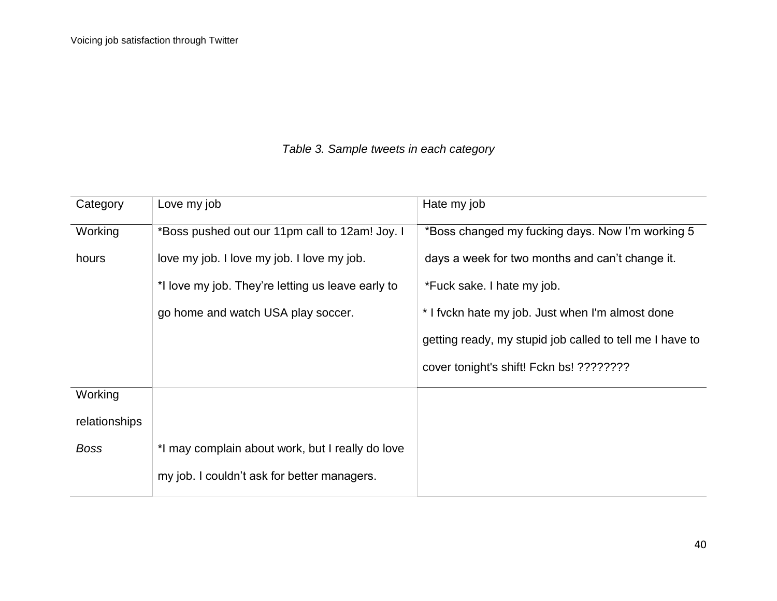## *Table 3. Sample tweets in each category*

| Category      | Love my job                                       | Hate my job                                              |
|---------------|---------------------------------------------------|----------------------------------------------------------|
| Working       | *Boss pushed out our 11pm call to 12am! Joy. I    | *Boss changed my fucking days. Now I'm working 5         |
| hours         | love my job. I love my job. I love my job.        | days a week for two months and can't change it.          |
|               | *I love my job. They're letting us leave early to | *Fuck sake. I hate my job.                               |
|               | go home and watch USA play soccer.                | * I fyckn hate my job. Just when I'm almost done         |
|               |                                                   | getting ready, my stupid job called to tell me I have to |
|               |                                                   | cover tonight's shift! Fckn bs! ????????                 |
| Working       |                                                   |                                                          |
| relationships |                                                   |                                                          |
| <b>Boss</b>   | *I may complain about work, but I really do love  |                                                          |
|               | my job. I couldn't ask for better managers.       |                                                          |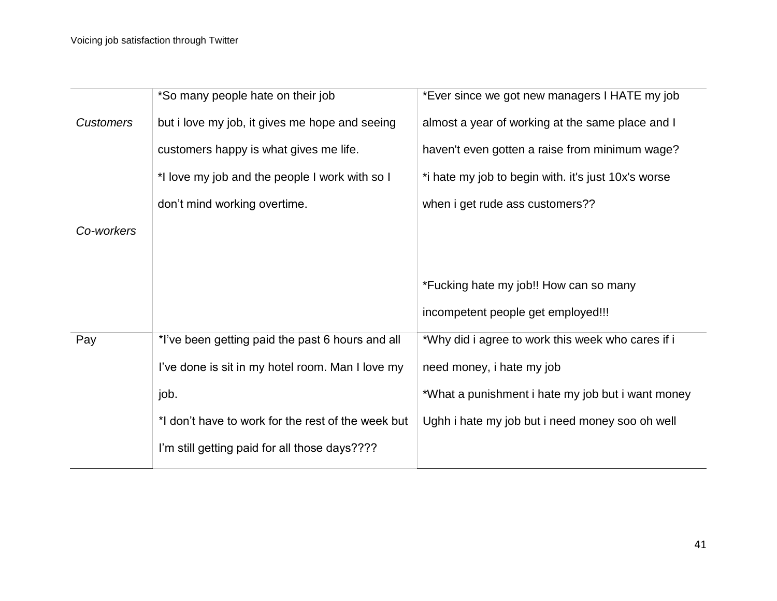|                  | *So many people hate on their job                  | *Ever since we got new managers I HATE my job       |
|------------------|----------------------------------------------------|-----------------------------------------------------|
| <b>Customers</b> | but i love my job, it gives me hope and seeing     | almost a year of working at the same place and I    |
|                  | customers happy is what gives me life.             | haven't even gotten a raise from minimum wage?      |
|                  | *I love my job and the people I work with so I     | *i hate my job to begin with. it's just 10x's worse |
|                  | don't mind working overtime.                       | when i get rude ass customers??                     |
| Co-workers       |                                                    |                                                     |
|                  |                                                    |                                                     |
|                  |                                                    | *Fucking hate my job!! How can so many              |
|                  |                                                    | incompetent people get employed!!!                  |
| Pay              | *I've been getting paid the past 6 hours and all   | *Why did i agree to work this week who cares if i   |
|                  | I've done is sit in my hotel room. Man I love my   | need money, i hate my job                           |
|                  | job.                                               | *What a punishment i hate my job but i want money   |
|                  | *I don't have to work for the rest of the week but | Ughh i hate my job but i need money soo oh well     |
|                  | I'm still getting paid for all those days????      |                                                     |
|                  |                                                    |                                                     |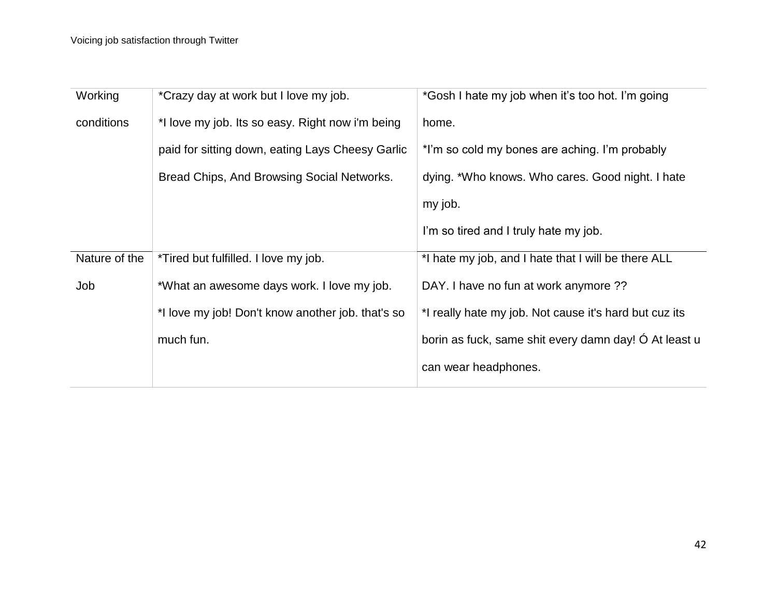| Working       | *Crazy day at work but I love my job.             | *Gosh I hate my job when it's too hot. I'm going       |
|---------------|---------------------------------------------------|--------------------------------------------------------|
| conditions    | *I love my job. Its so easy. Right now i'm being  | home.                                                  |
|               | paid for sitting down, eating Lays Cheesy Garlic  | *I'm so cold my bones are aching. I'm probably         |
|               | Bread Chips, And Browsing Social Networks.        | dying. *Who knows. Who cares. Good night. I hate       |
|               |                                                   | my job.                                                |
|               |                                                   | I'm so tired and I truly hate my job.                  |
| Nature of the | *Tired but fulfilled. I love my job.              | *I hate my job, and I hate that I will be there ALL    |
| Job           | *What an awesome days work. I love my job.        | DAY. I have no fun at work anymore ??                  |
|               | *I love my job! Don't know another job. that's so | *I really hate my job. Not cause it's hard but cuz its |
|               | much fun.                                         | borin as fuck, same shit every damn day! Ó At least u  |
|               |                                                   | can wear headphones.                                   |
|               |                                                   |                                                        |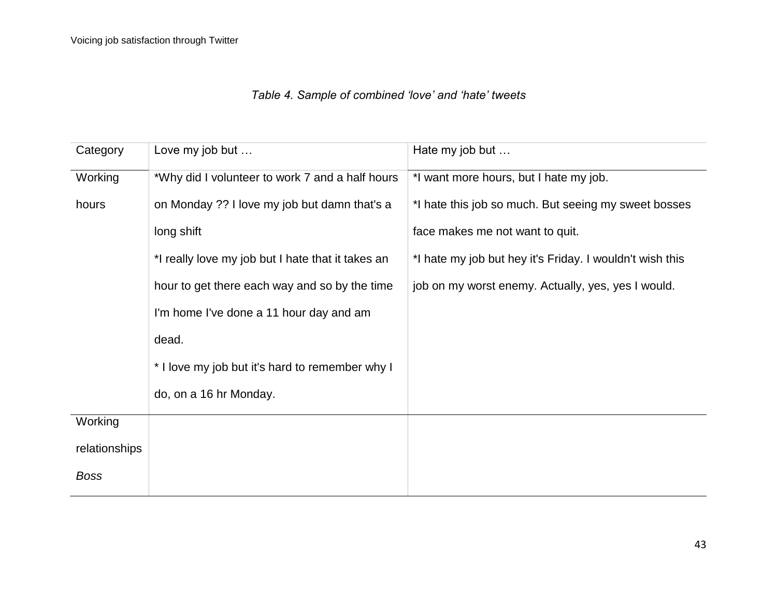# *Table 4. Sample of combined 'love' and 'hate' tweets*

| Category      | Love my job but                                   | Hate my job but                                          |
|---------------|---------------------------------------------------|----------------------------------------------------------|
| Working       | *Why did I volunteer to work 7 and a half hours   | *I want more hours, but I hate my job.                   |
| hours         | on Monday ?? I love my job but damn that's a      | *I hate this job so much. But seeing my sweet bosses     |
|               | long shift                                        | face makes me not want to quit.                          |
|               | *I really love my job but I hate that it takes an | *I hate my job but hey it's Friday. I wouldn't wish this |
|               | hour to get there each way and so by the time     | job on my worst enemy. Actually, yes, yes I would.       |
|               | I'm home I've done a 11 hour day and am           |                                                          |
|               | dead.                                             |                                                          |
|               | * I love my job but it's hard to remember why I   |                                                          |
|               | do, on a 16 hr Monday.                            |                                                          |
| Working       |                                                   |                                                          |
| relationships |                                                   |                                                          |
| <b>Boss</b>   |                                                   |                                                          |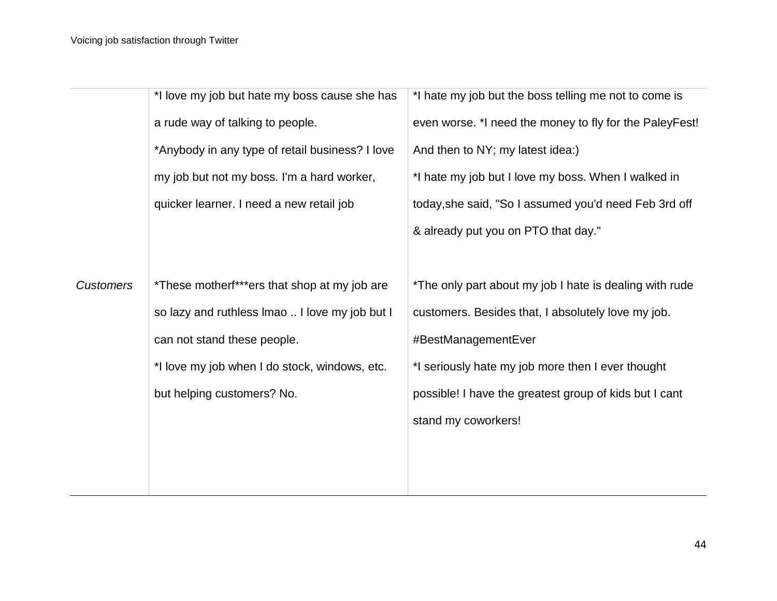|                  | *I love my job but hate my boss cause she has   | *I hate my job but the boss telling me not to come is   |
|------------------|-------------------------------------------------|---------------------------------------------------------|
|                  | a rude way of talking to people.                | even worse. *I need the money to fly for the PaleyFest! |
|                  | *Anybody in any type of retail business? I love | And then to NY; my latest idea:)                        |
|                  | my job but not my boss. I'm a hard worker,      | *I hate my job but I love my boss. When I walked in     |
|                  | quicker learner. I need a new retail job        | today, she said, "So I assumed you'd need Feb 3rd off   |
|                  |                                                 | & already put you on PTO that day."                     |
|                  |                                                 |                                                         |
| <b>Customers</b> | *These motherf***ers that shop at my job are    | *The only part about my job I hate is dealing with rude |
|                  | so lazy and ruthless Imao  I love my job but I  | customers. Besides that, I absolutely love my job.      |
|                  | can not stand these people.                     | #BestManagementEver                                     |
|                  | *I love my job when I do stock, windows, etc.   | *I seriously hate my job more then I ever thought       |
|                  | but helping customers? No.                      | possible! I have the greatest group of kids but I cant  |
|                  |                                                 | stand my coworkers!                                     |
|                  |                                                 |                                                         |
|                  |                                                 |                                                         |
|                  |                                                 |                                                         |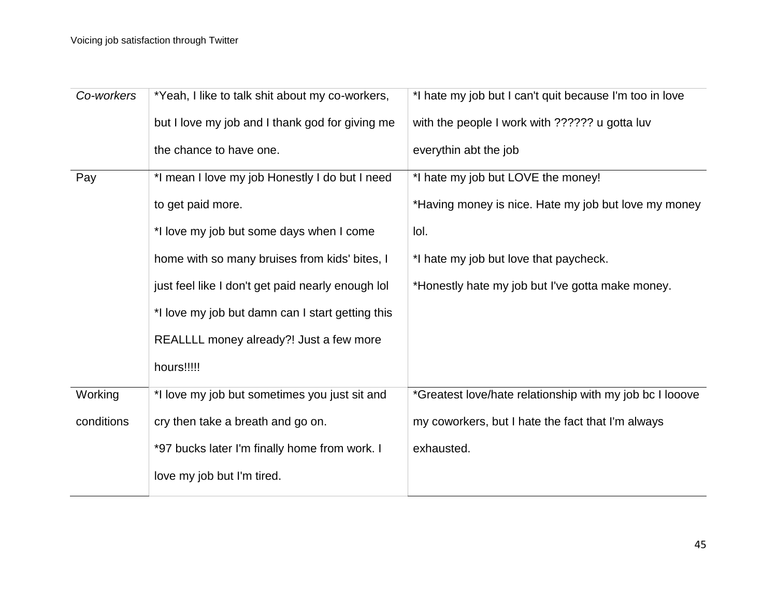| *Yeah, I like to talk shit about my co-workers,   | *I hate my job but I can't quit because I'm too in love  |
|---------------------------------------------------|----------------------------------------------------------|
| but I love my job and I thank god for giving me   | with the people I work with ?????? u gotta luv           |
| the chance to have one.                           | everythin abt the job                                    |
| *I mean I love my job Honestly I do but I need    | *I hate my job but LOVE the money!                       |
| to get paid more.                                 | *Having money is nice. Hate my job but love my money     |
| *I love my job but some days when I come          | lol.                                                     |
| home with so many bruises from kids' bites, I     | *I hate my job but love that paycheck.                   |
| just feel like I don't get paid nearly enough lol | *Honestly hate my job but I've gotta make money.         |
| *I love my job but damn can I start getting this  |                                                          |
| REALLLL money already?! Just a few more           |                                                          |
| hours!!!!!                                        |                                                          |
| *I love my job but sometimes you just sit and     | *Greatest love/hate relationship with my job bc I looove |
| cry then take a breath and go on.                 | my coworkers, but I hate the fact that I'm always        |
| *97 bucks later I'm finally home from work. I     | exhausted.                                               |
| love my job but I'm tired.                        |                                                          |
|                                                   |                                                          |